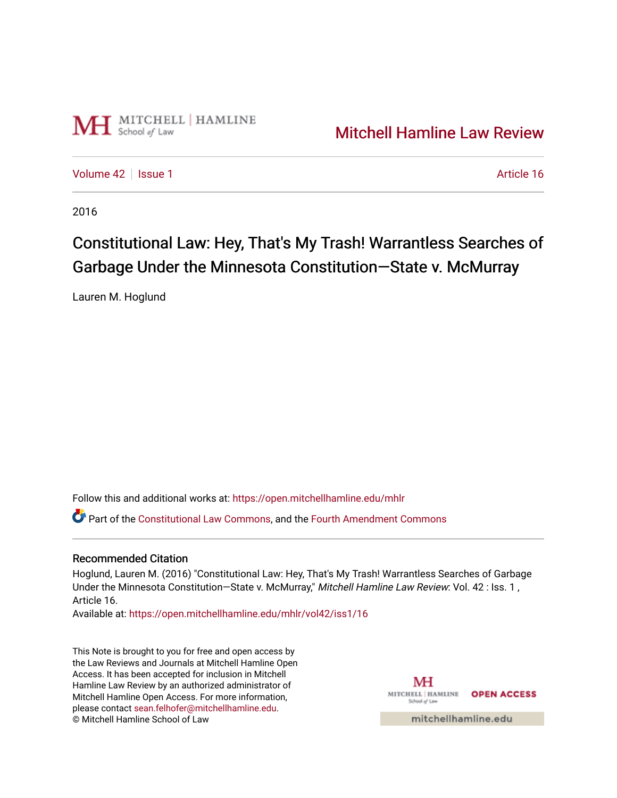

## [Mitchell Hamline Law Review](https://open.mitchellhamline.edu/mhlr)

[Volume 42](https://open.mitchellhamline.edu/mhlr/vol42) | [Issue 1](https://open.mitchellhamline.edu/mhlr/vol42/iss1) Article 16

2016

# Constitutional Law: Hey, That's My Trash! Warrantless Searches of Garbage Under the Minnesota Constitution—State v. McMurray

Lauren M. Hoglund

Follow this and additional works at: [https://open.mitchellhamline.edu/mhlr](https://open.mitchellhamline.edu/mhlr?utm_source=open.mitchellhamline.edu%2Fmhlr%2Fvol42%2Fiss1%2F16&utm_medium=PDF&utm_campaign=PDFCoverPages) 

Part of the [Constitutional Law Commons,](http://network.bepress.com/hgg/discipline/589?utm_source=open.mitchellhamline.edu%2Fmhlr%2Fvol42%2Fiss1%2F16&utm_medium=PDF&utm_campaign=PDFCoverPages) and the [Fourth Amendment Commons](http://network.bepress.com/hgg/discipline/1180?utm_source=open.mitchellhamline.edu%2Fmhlr%2Fvol42%2Fiss1%2F16&utm_medium=PDF&utm_campaign=PDFCoverPages) 

#### Recommended Citation

Hoglund, Lauren M. (2016) "Constitutional Law: Hey, That's My Trash! Warrantless Searches of Garbage Under the Minnesota Constitution-State v. McMurray," Mitchell Hamline Law Review: Vol. 42 : Iss. 1, Article 16.

Available at: [https://open.mitchellhamline.edu/mhlr/vol42/iss1/16](https://open.mitchellhamline.edu/mhlr/vol42/iss1/16?utm_source=open.mitchellhamline.edu%2Fmhlr%2Fvol42%2Fiss1%2F16&utm_medium=PDF&utm_campaign=PDFCoverPages)

This Note is brought to you for free and open access by the Law Reviews and Journals at Mitchell Hamline Open Access. It has been accepted for inclusion in Mitchell Hamline Law Review by an authorized administrator of Mitchell Hamline Open Access. For more information, please contact [sean.felhofer@mitchellhamline.edu.](mailto:sean.felhofer@mitchellhamline.edu) © Mitchell Hamline School of Law

MH MITCHELL HAMLINE OPEN ACCESS School of La

mitchellhamline.edu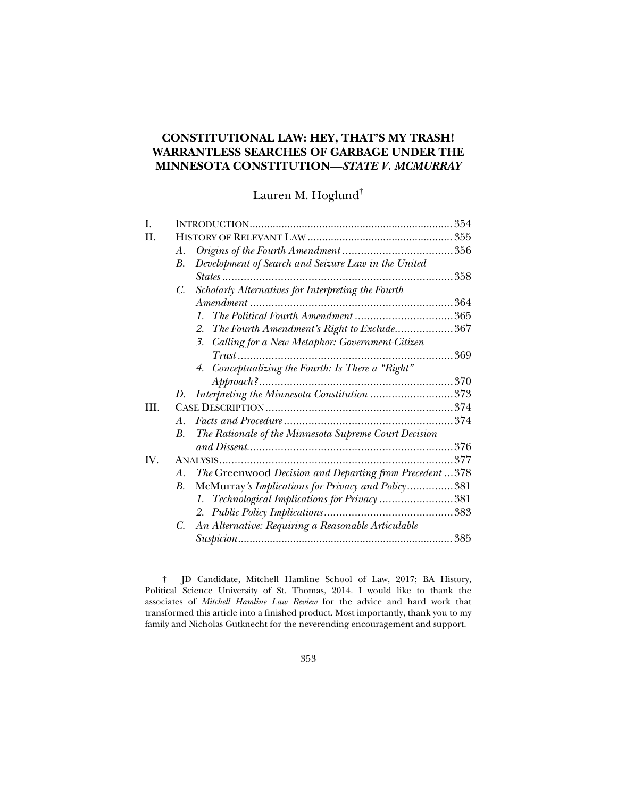### **CONSTITUTIONAL LAW: HEY, THAT'S MY TRASH! WARRANTLESS SEARCHES OF GARBAGE UNDER THE MINNESOTA CONSTITUTION—***STATE V. MCMURRAY*

Lauren M. Hoglund†

| I.   |    |                                                                  |      |
|------|----|------------------------------------------------------------------|------|
| H.   |    |                                                                  |      |
|      | A. |                                                                  |      |
|      | В. | Development of Search and Seizure Law in the United              |      |
|      |    | $States$                                                         | 358  |
|      | C. | Scholarly Alternatives for Interpreting the Fourth               |      |
|      |    |                                                                  | 364  |
|      |    | The Political Fourth Amendment 365<br>$\mathcal{I}$ .            |      |
|      |    | The Fourth Amendment's Right to Exclude367<br>2.                 |      |
|      |    | Calling for a New Metaphor: Government-Citizen<br>3 <sub>1</sub> |      |
|      |    |                                                                  | 369  |
|      |    | 4. Conceptualizing the Fourth: Is There a "Right"                |      |
|      |    |                                                                  | .370 |
|      | D. | Interpreting the Minnesota Constitution 373                      |      |
| III. |    |                                                                  |      |
|      | A. |                                                                  |      |
|      | В. | The Rationale of the Minnesota Supreme Court Decision            |      |
|      |    |                                                                  | .376 |
| IV.  |    |                                                                  | 377  |
|      | A. | The Greenwood Decision and Departing from Precedent  378         |      |
|      | B. | McMurray's Implications for Privacy and Policy381                |      |
|      |    | 1. Technological Implications for Privacy381                     |      |
|      |    |                                                                  |      |
|      | C. | An Alternative: Requiring a Reasonable Articulable               |      |
|      |    | 385                                                              |      |
|      |    |                                                                  |      |

 <sup>†</sup> JD Candidate, Mitchell Hamline School of Law, 2017; BA History, Political Science University of St. Thomas, 2014. I would like to thank the associates of *Mitchell Hamline Law Review* for the advice and hard work that transformed this article into a finished product. Most importantly, thank you to my family and Nicholas Gutknecht for the neverending encouragement and support.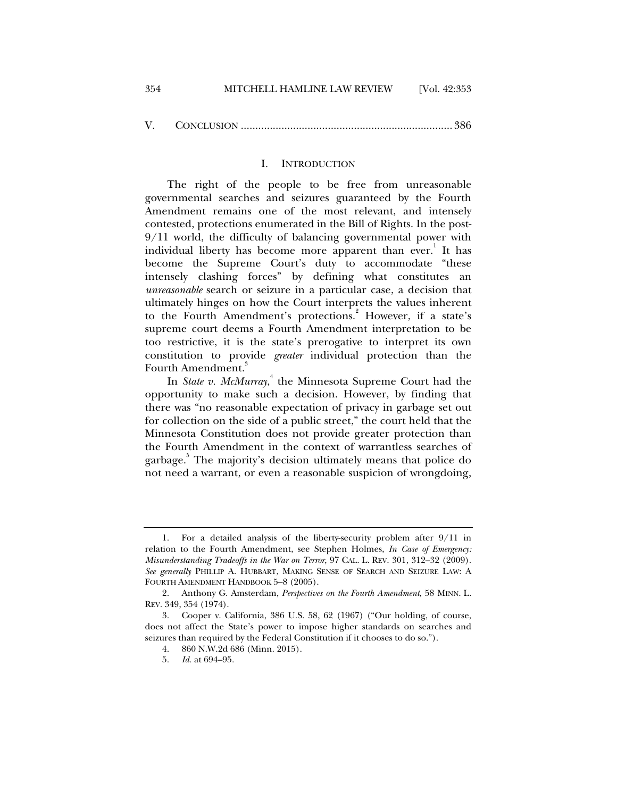#### I. INTRODUCTION

The right of the people to be free from unreasonable governmental searches and seizures guaranteed by the Fourth Amendment remains one of the most relevant, and intensely contested, protections enumerated in the Bill of Rights. In the post-9/11 world, the difficulty of balancing governmental power with individual liberty has become more apparent than ever.<sup>1</sup> It has become the Supreme Court's duty to accommodate "these intensely clashing forces" by defining what constitutes an *unreasonable* search or seizure in a particular case, a decision that ultimately hinges on how the Court interprets the values inherent to the Fourth Amendment's protections.<sup>2</sup> However, if a state's supreme court deems a Fourth Amendment interpretation to be too restrictive, it is the state's prerogative to interpret its own constitution to provide *greater* individual protection than the Fourth Amendment.<sup>3</sup>

In *State v. McMurray*, 4 the Minnesota Supreme Court had the opportunity to make such a decision. However, by finding that there was "no reasonable expectation of privacy in garbage set out for collection on the side of a public street," the court held that the Minnesota Constitution does not provide greater protection than the Fourth Amendment in the context of warrantless searches of garbage.<sup>5</sup> The majority's decision ultimately means that police do not need a warrant, or even a reasonable suspicion of wrongdoing,

 <sup>1.</sup> For a detailed analysis of the liberty-security problem after 9/11 in relation to the Fourth Amendment, see Stephen Holmes, *In Case of Emergency: Misunderstanding Tradeoffs in the War on Terror*, 97 CAL. L. REV. 301, 312–32 (2009). *See generally* PHILLIP A. HUBBART, MAKING SENSE OF SEARCH AND SEIZURE LAW: A FOURTH AMENDMENT HANDBOOK 5–8 (2005).

 <sup>2.</sup> Anthony G. Amsterdam, *Perspectives on the Fourth Amendment*, 58 MINN. L. REV. 349, 354 (1974).

 <sup>3.</sup> Cooper v. California, 386 U.S. 58, 62 (1967) ("Our holding, of course, does not affect the State's power to impose higher standards on searches and seizures than required by the Federal Constitution if it chooses to do so.").

 <sup>4. 860</sup> N.W.2d 686 (Minn. 2015).

 <sup>5.</sup> *Id.* at 694–95.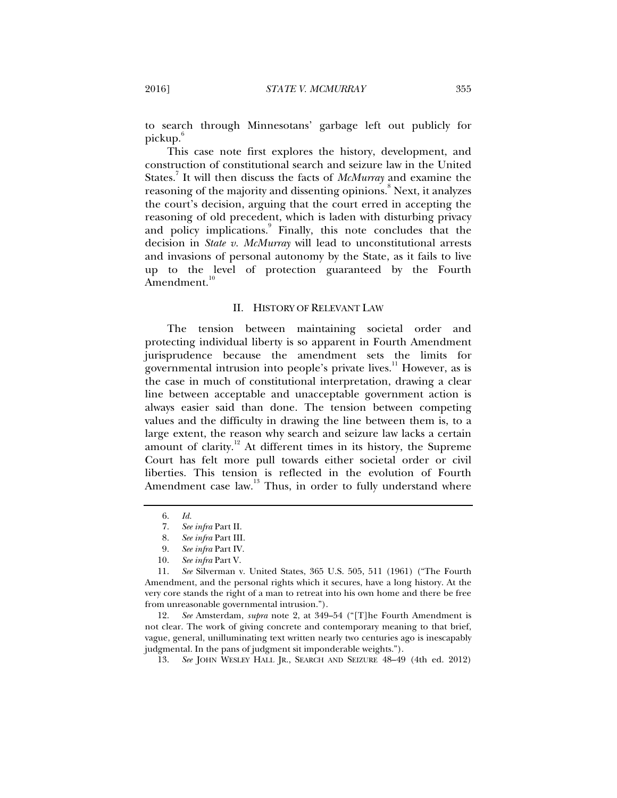to search through Minnesotans' garbage left out publicly for pickup.

This case note first explores the history, development, and construction of constitutional search and seizure law in the United States.7 It will then discuss the facts of *McMurray* and examine the reasoning of the majority and dissenting opinions.<sup>8</sup> Next, it analyzes the court's decision, arguing that the court erred in accepting the reasoning of old precedent, which is laden with disturbing privacy and policy implications.<sup>9</sup> Finally, this note concludes that the decision in *State v. McMurray* will lead to unconstitutional arrests and invasions of personal autonomy by the State, as it fails to live up to the level of protection guaranteed by the Fourth Amendment.<sup>10</sup>

#### II. HISTORY OF RELEVANT LAW

The tension between maintaining societal order and protecting individual liberty is so apparent in Fourth Amendment jurisprudence because the amendment sets the limits for governmental intrusion into people's private lives.<sup>11</sup> However, as is the case in much of constitutional interpretation, drawing a clear line between acceptable and unacceptable government action is always easier said than done. The tension between competing values and the difficulty in drawing the line between them is, to a large extent, the reason why search and seizure law lacks a certain amount of clarity.<sup>12</sup> At different times in its history, the Supreme Court has felt more pull towards either societal order or civil liberties. This tension is reflected in the evolution of Fourth Amendment case law.<sup>13</sup> Thus, in order to fully understand where

 12. *See* Amsterdam, *supra* note 2, at 349–54 ("[T]he Fourth Amendment is not clear. The work of giving concrete and contemporary meaning to that brief, vague, general, unilluminating text written nearly two centuries ago is inescapably judgmental. In the pans of judgment sit imponderable weights.").

13. *See* JOHN WESLEY HALL JR., SEARCH AND SEIZURE 48–49 (4th ed. 2012)

 <sup>6.</sup> *Id.*

 <sup>7.</sup> *See infra* Part II.

 <sup>8.</sup> *See infra* Part III.

 <sup>9.</sup> *See infra* Part IV.

 <sup>10.</sup> *See infra* Part V.

 <sup>11.</sup> *See* Silverman v. United States, 365 U.S. 505, 511 (1961) ("The Fourth Amendment, and the personal rights which it secures, have a long history. At the very core stands the right of a man to retreat into his own home and there be free from unreasonable governmental intrusion.").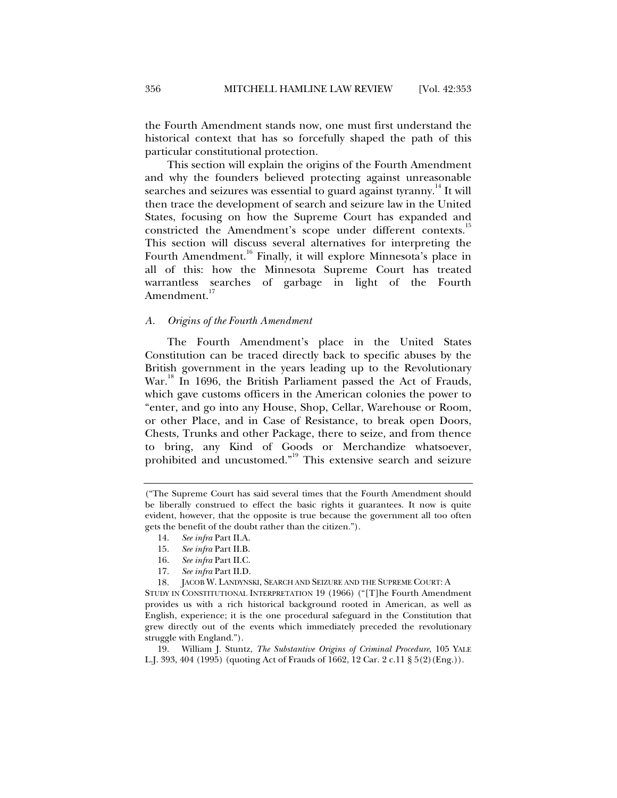the Fourth Amendment stands now, one must first understand the historical context that has so forcefully shaped the path of this particular constitutional protection.

This section will explain the origins of the Fourth Amendment and why the founders believed protecting against unreasonable searches and seizures was essential to guard against tyranny.<sup>14</sup> It will then trace the development of search and seizure law in the United States, focusing on how the Supreme Court has expanded and constricted the Amendment's scope under different contexts.<sup>15</sup> This section will discuss several alternatives for interpreting the Fourth Amendment.<sup>16</sup> Finally, it will explore Minnesota's place in all of this: how the Minnesota Supreme Court has treated warrantless searches of garbage in light of the Fourth Amendment.<sup>17</sup>

#### *A. Origins of the Fourth Amendment*

The Fourth Amendment's place in the United States Constitution can be traced directly back to specific abuses by the British government in the years leading up to the Revolutionary War.<sup>18</sup> In 1696, the British Parliament passed the Act of Frauds, which gave customs officers in the American colonies the power to "enter, and go into any House, Shop, Cellar, Warehouse or Room, or other Place, and in Case of Resistance, to break open Doors, Chests, Trunks and other Package, there to seize, and from thence to bring, any Kind of Goods or Merchandize whatsoever, prohibited and uncustomed."19 This extensive search and seizure

- 15. *See infra* Part II.B.
- 16. *See infra* Part II.C.
- 17. *See infra* Part II.D.

18*.* JACOB W. LANDYNSKI, SEARCH AND SEIZURE AND THE SUPREME COURT: A

STUDY IN CONSTITUTIONAL INTERPRETATION 19 (1966) ("[T]he Fourth Amendment provides us with a rich historical background rooted in American, as well as English, experience; it is the one procedural safeguard in the Constitution that grew directly out of the events which immediately preceded the revolutionary struggle with England.").

 19. William J. Stuntz, *The Substantive Origins of Criminal Procedure*, 105 YALE L.J. 393, 404 (1995) (quoting Act of Frauds of 1662, 12 Car. 2 c.11 § 5(2)(Eng.)).

<sup>(&</sup>quot;The Supreme Court has said several times that the Fourth Amendment should be liberally construed to effect the basic rights it guarantees. It now is quite evident, however, that the opposite is true because the government all too often gets the benefit of the doubt rather than the citizen.").

 <sup>14.</sup> *See infra* Part II.A.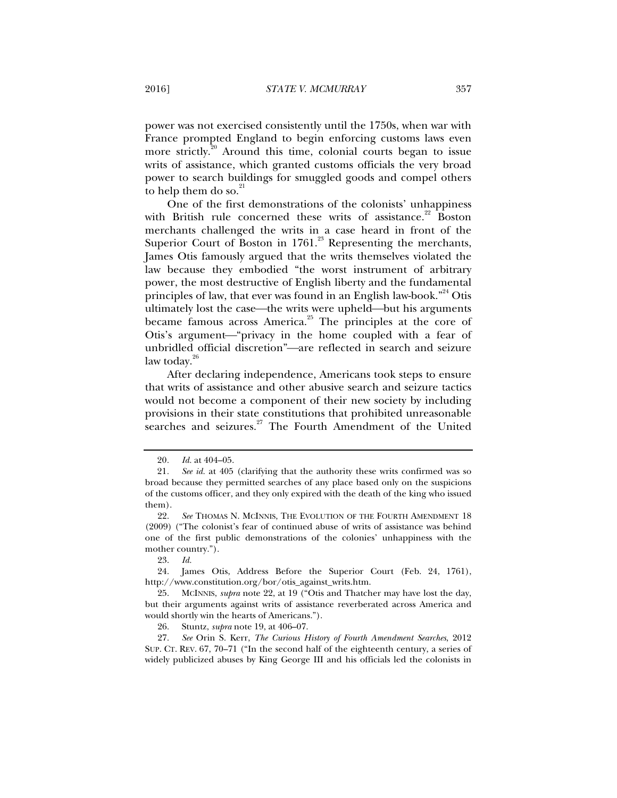power was not exercised consistently until the 1750s, when war with France prompted England to begin enforcing customs laws even more strictly.<sup>20</sup> Around this time, colonial courts began to issue writs of assistance, which granted customs officials the very broad power to search buildings for smuggled goods and compel others to help them do so. $21$ 

One of the first demonstrations of the colonists' unhappiness with British rule concerned these writs of assistance. $22$  Boston merchants challenged the writs in a case heard in front of the Superior Court of Boston in  $1761$ .<sup>23</sup> Representing the merchants, James Otis famously argued that the writs themselves violated the law because they embodied "the worst instrument of arbitrary power, the most destructive of English liberty and the fundamental principles of law, that ever was found in an English law-book. $\mathbb{R}^{24}$  Otis ultimately lost the case—the writs were upheld—but his arguments became famous across America.<sup>25</sup> The principles at the core of Otis's argument—"privacy in the home coupled with a fear of unbridled official discretion"-are reflected in search and seizure law today. $20$ 

After declaring independence, Americans took steps to ensure that writs of assistance and other abusive search and seizure tactics would not become a component of their new society by including provisions in their state constitutions that prohibited unreasonable searches and seizures.<sup>27</sup> The Fourth Amendment of the United

<sup>20</sup>*. Id.* at 404–05.

<sup>21</sup>*. See id.* at 405 (clarifying that the authority these writs confirmed was so broad because they permitted searches of any place based only on the suspicions of the customs officer, and they only expired with the death of the king who issued them).

 <sup>22.</sup> *See* THOMAS N. MCINNIS, THE EVOLUTION OF THE FOURTH AMENDMENT 18 (2009) ("The colonist's fear of continued abuse of writs of assistance was behind one of the first public demonstrations of the colonies' unhappiness with the mother country.").

 <sup>23.</sup> *Id.*

 <sup>24.</sup> James Otis, Address Before the Superior Court (Feb. 24, 1761), http://www.constitution.org/bor/otis\_against\_writs.htm.

 <sup>25.</sup> MCINNIS, *supra* note 22, at 19 ("Otis and Thatcher may have lost the day, but their arguments against writs of assistance reverberated across America and would shortly win the hearts of Americans.").

 <sup>26.</sup> Stuntz, *supra* note 19, at 406–07.

 <sup>27.</sup> *See* Orin S. Kerr, *The Curious History of Fourth Amendment Searches*, 2012 SUP. CT. REV. 67, 70–71 ("In the second half of the eighteenth century, a series of widely publicized abuses by King George III and his officials led the colonists in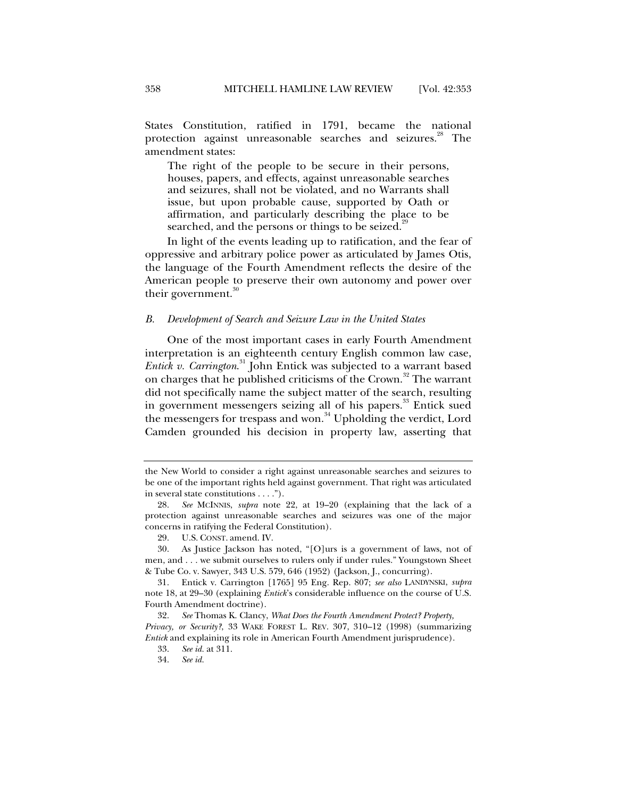States Constitution, ratified in 1791, became the national protection against unreasonable searches and seizures.<sup>28</sup> The amendment states:

The right of the people to be secure in their persons, houses, papers, and effects, against unreasonable searches and seizures, shall not be violated, and no Warrants shall issue, but upon probable cause, supported by Oath or affirmation, and particularly describing the place to be searched, and the persons or things to be seized.<sup>29</sup>

In light of the events leading up to ratification, and the fear of oppressive and arbitrary police power as articulated by James Otis, the language of the Fourth Amendment reflects the desire of the American people to preserve their own autonomy and power over their government.<sup>30</sup>

#### *B. Development of Search and Seizure Law in the United States*

One of the most important cases in early Fourth Amendment interpretation is an eighteenth century English common law case, *Entick v. Carrington*. 31 John Entick was subjected to a warrant based on charges that he published criticisms of the Crown.<sup>32</sup> The warrant did not specifically name the subject matter of the search, resulting in government messengers seizing all of his papers.<sup>33</sup> Entick sued the messengers for trespass and won.<sup>34</sup> Upholding the verdict, Lord Camden grounded his decision in property law, asserting that

the New World to consider a right against unreasonable searches and seizures to be one of the important rights held against government. That right was articulated in several state constitutions . . . .").

 <sup>28.</sup> *See* MCINNIS, *supra* note 22, at 19–20 (explaining that the lack of a protection against unreasonable searches and seizures was one of the major concerns in ratifying the Federal Constitution).

 <sup>29.</sup> U.S. CONST. amend. IV.

 <sup>30.</sup> As Justice Jackson has noted, "[O]urs is a government of laws, not of men, and . . . we submit ourselves to rulers only if under rules." Youngstown Sheet & Tube Co. v. Sawyer, 343 U.S. 579, 646 (1952) (Jackson, J., concurring).

 <sup>31.</sup> Entick v. Carrington [1765] 95 Eng. Rep. 807; *see also* LANDYNSKI, *supra* note 18, at 29–30 (explaining *Entick*'s considerable influence on the course of U.S. Fourth Amendment doctrine).

 <sup>32.</sup> *See* Thomas K. Clancy, *What Does the Fourth Amendment Protect? Property, Privacy, or Security?*, 33 WAKE FOREST L. REV. 307, 310–12 (1998) (summarizing *Entick* and explaining its role in American Fourth Amendment jurisprudence).

 <sup>33.</sup> *See id.* at 311.

 <sup>34.</sup> *See id.*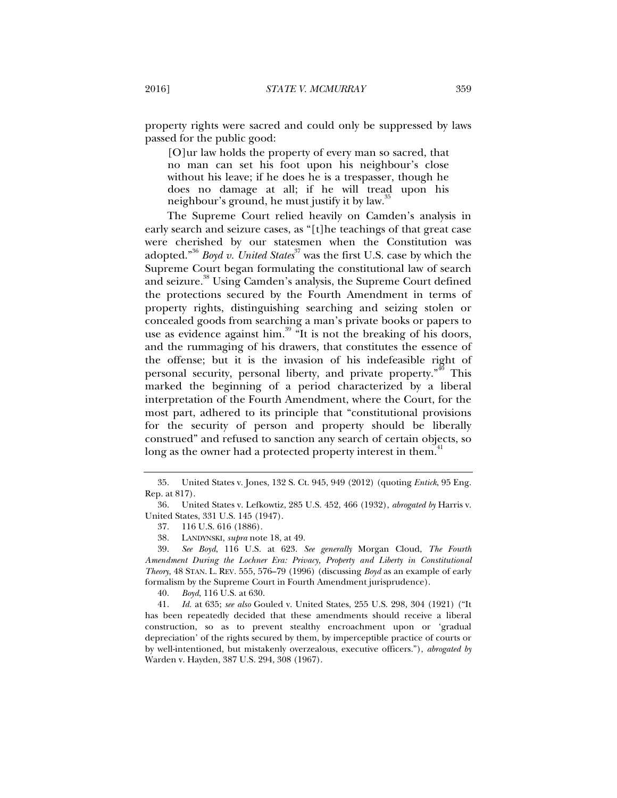property rights were sacred and could only be suppressed by laws passed for the public good:

[O]ur law holds the property of every man so sacred, that no man can set his foot upon his neighbour's close without his leave; if he does he is a trespasser, though he does no damage at all; if he will tread upon his neighbour's ground, he must justify it by law.

The Supreme Court relied heavily on Camden's analysis in early search and seizure cases, as "[t]he teachings of that great case were cherished by our statesmen when the Constitution was adopted."<sup>36</sup> *Boyd v. United States*<sup>37</sup> was the first U.S. case by which the Supreme Court began formulating the constitutional law of search and seizure.<sup>38</sup> Using Camden's analysis, the Supreme Court defined the protections secured by the Fourth Amendment in terms of property rights, distinguishing searching and seizing stolen or concealed goods from searching a man's private books or papers to use as evidence against him. $39$  "It is not the breaking of his doors, and the rummaging of his drawers, that constitutes the essence of the offense; but it is the invasion of his indefeasible right of personal security, personal liberty, and private property.<sup>"40</sup> This marked the beginning of a period characterized by a liberal interpretation of the Fourth Amendment, where the Court, for the most part, adhered to its principle that "constitutional provisions for the security of person and property should be liberally construed" and refused to sanction any search of certain objects, so long as the owner had a protected property interest in them.<sup>41</sup>

40. *Boyd*, 116 U.S. at 630.

 41. *Id.* at 635; *see also* Gouled v. United States, 255 U.S. 298, 304 (1921) ("It has been repeatedly decided that these amendments should receive a liberal construction, so as to prevent stealthy encroachment upon or 'gradual depreciation' of the rights secured by them, by imperceptible practice of courts or by well-intentioned, but mistakenly overzealous, executive officers."), *abrogated by* Warden v. Hayden, 387 U.S. 294, 308 (1967).

 <sup>35.</sup> United States v. Jones, 132 S. Ct. 945, 949 (2012) (quoting *Entick*, 95 Eng. Rep. at 817).

 <sup>36.</sup> United States v. Lefkowtiz, 285 U.S. 452, 466 (1932), *abrogated by* Harris v. United States, 331 U.S. 145 (1947).

 <sup>37. 116</sup> U.S. 616 (1886).

 <sup>38.</sup> LANDYNSKI, *supra* note 18, at 49.

 <sup>39.</sup> *See Boyd*, 116 U.S. at 623. *See generally* Morgan Cloud, *The Fourth Amendment During the Lochner Era: Privacy, Property and Liberty in Constitutional Theory*, 48 STAN. L. REV. 555, 576–79 (1996) (discussing *Boyd* as an example of early formalism by the Supreme Court in Fourth Amendment jurisprudence).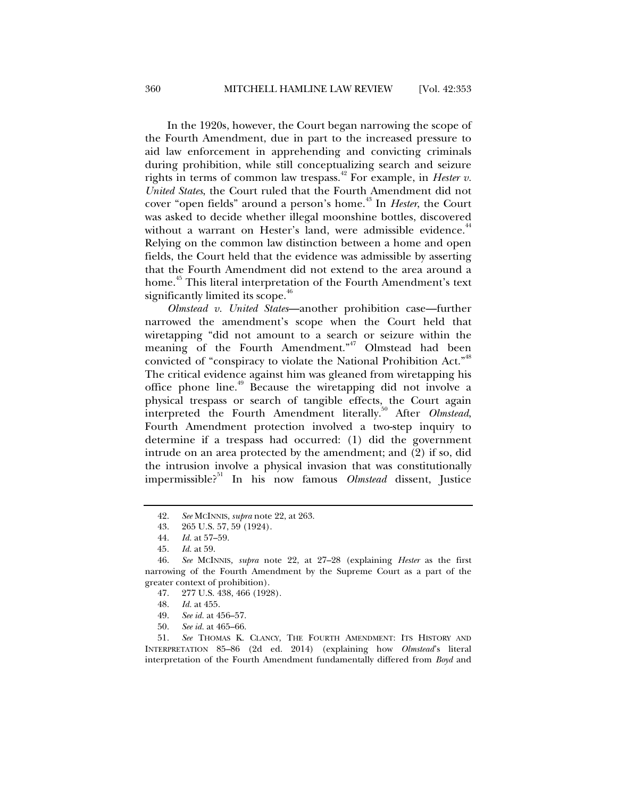In the 1920s, however, the Court began narrowing the scope of the Fourth Amendment, due in part to the increased pressure to aid law enforcement in apprehending and convicting criminals during prohibition, while still conceptualizing search and seizure rights in terms of common law trespass.<sup>42</sup> For example, in *Hester v*. *United States*, the Court ruled that the Fourth Amendment did not cover "open fields" around a person's home.<sup>43</sup> In *Hester*, the Court was asked to decide whether illegal moonshine bottles, discovered without a warrant on Hester's land, were admissible evidence.<sup>44</sup> Relying on the common law distinction between a home and open fields, the Court held that the evidence was admissible by asserting that the Fourth Amendment did not extend to the area around a home.<sup>45</sup> This literal interpretation of the Fourth Amendment's text significantly limited its scope.<sup>46</sup>

*Olmstead v. United States*—another prohibition case—further narrowed the amendment's scope when the Court held that wiretapping "did not amount to a search or seizure within the meaning of the Fourth Amendment."<sup>47</sup> Olmstead had been convicted of "conspiracy to violate the National Prohibition Act."<sup>48</sup> The critical evidence against him was gleaned from wiretapping his office phone line.<sup>49</sup> Because the wiretapping did not involve a physical trespass or search of tangible effects, the Court again interpreted the Fourth Amendment literally.<sup>50</sup> After *Olmstead*, Fourth Amendment protection involved a two-step inquiry to determine if a trespass had occurred: (1) did the government intrude on an area protected by the amendment; and (2) if so, did the intrusion involve a physical invasion that was constitutionally impermissible?51 In his now famous *Olmstead* dissent, Justice

50. *See id.* at 465–66.

 51. *See* THOMAS K. CLANCY, THE FOURTH AMENDMENT: ITS HISTORY AND INTERPRETATION 85–86 (2d ed. 2014) (explaining how *Olmstead*'s literal interpretation of the Fourth Amendment fundamentally differed from *Boyd* and

 <sup>42.</sup> *See* MCINNIS, *supra* note 22, at 263.

 <sup>43. 265</sup> U.S. 57, 59 (1924).

 <sup>44.</sup> *Id.* at 57–59.

<sup>45</sup>*. Id.* at 59.

 <sup>46.</sup> *See* MCINNIS*, supra* note 22, at 27–28 (explaining *Hester* as the first narrowing of the Fourth Amendment by the Supreme Court as a part of the greater context of prohibition).

 <sup>47. 277</sup> U.S. 438, 466 (1928).

 <sup>48.</sup> *Id.* at 455.

 <sup>49.</sup> *See id.* at 456–57.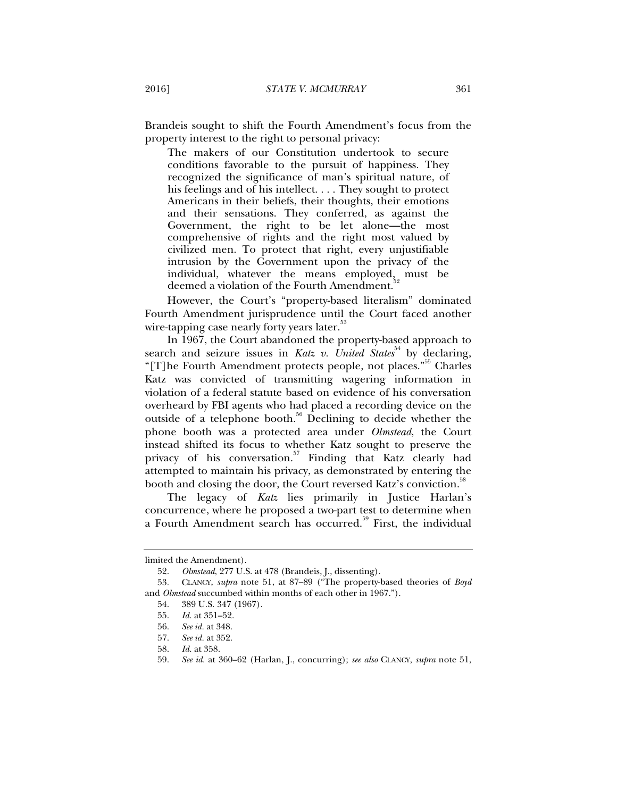Brandeis sought to shift the Fourth Amendment's focus from the property interest to the right to personal privacy:

The makers of our Constitution undertook to secure conditions favorable to the pursuit of happiness. They recognized the significance of man's spiritual nature, of his feelings and of his intellect. . . . They sought to protect Americans in their beliefs, their thoughts, their emotions and their sensations. They conferred, as against the Government, the right to be let alone—the most comprehensive of rights and the right most valued by civilized men. To protect that right, every unjustifiable intrusion by the Government upon the privacy of the individual, whatever the means employed, must be deemed a violation of the Fourth Amendment.

However, the Court's "property-based literalism" dominated Fourth Amendment jurisprudence until the Court faced another wire-tapping case nearly forty years later.<sup>53</sup>

In 1967, the Court abandoned the property-based approach to search and seizure issues in *Katz v. United States*<sup>34</sup> by declaring, "[T]he Fourth Amendment protects people, not places."<sup>55</sup> Charles" Katz was convicted of transmitting wagering information in violation of a federal statute based on evidence of his conversation overheard by FBI agents who had placed a recording device on the outside of a telephone booth.<sup>56</sup> Declining to decide whether the phone booth was a protected area under *Olmstead*, the Court instead shifted its focus to whether Katz sought to preserve the privacy of his conversation.<sup>57</sup> Finding that Katz clearly had attempted to maintain his privacy, as demonstrated by entering the booth and closing the door, the Court reversed Katz's conviction.<sup>38</sup>

The legacy of *Katz* lies primarily in Justice Harlan's concurrence, where he proposed a two-part test to determine when a Fourth Amendment search has occurred.<sup>59</sup> First, the individual

limited the Amendment).

 <sup>52.</sup> *Olmstead*, 277 U.S. at 478 (Brandeis, J., dissenting).

 <sup>53.</sup> CLANCY, *supra* note 51, at 87–89 ("The property-based theories of *Boyd* and *Olmstead* succumbed within months of each other in 1967.").

 <sup>54. 389</sup> U.S. 347 (1967).

 <sup>55.</sup> *Id.* at 351–52.

 <sup>56.</sup> *See id.* at 348.

 <sup>57.</sup> *See id.* at 352.

 <sup>58.</sup> *Id.* at 358.

 <sup>59.</sup> *See id.* at 360–62 (Harlan, J., concurring); *see also* CLANCY, *supra* note 51,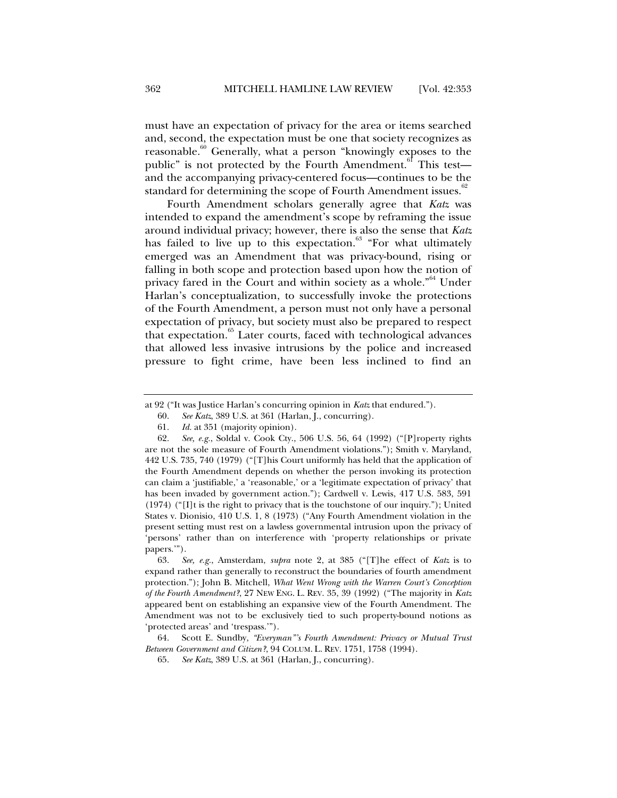must have an expectation of privacy for the area or items searched and, second, the expectation must be one that society recognizes as reasonable.<sup>60</sup> Generally, what a person "knowingly exposes to the public" is not protected by the Fourth Amendment.<sup>61</sup> This test and the accompanying privacy-centered focus—continues to be the standard for determining the scope of Fourth Amendment issues.<sup>8</sup>

Fourth Amendment scholars generally agree that *Katz* was intended to expand the amendment's scope by reframing the issue around individual privacy; however, there is also the sense that *Katz*  has failed to live up to this expectation.<sup>63</sup> "For what ultimately emerged was an Amendment that was privacy-bound, rising or falling in both scope and protection based upon how the notion of privacy fared in the Court and within society as a whole."<sup>64</sup> Under Harlan's conceptualization, to successfully invoke the protections of the Fourth Amendment, a person must not only have a personal expectation of privacy, but society must also be prepared to respect that expectation.<sup>65</sup> Later courts, faced with technological advances that allowed less invasive intrusions by the police and increased pressure to fight crime, have been less inclined to find an

 63. *See, e.g.*, Amsterdam, *supra* note 2, at 385 ("[T]he effect of *Katz* is to expand rather than generally to reconstruct the boundaries of fourth amendment protection."); John B. Mitchell, *What Went Wrong with the Warren Court's Conception of the Fourth Amendment?*, 27 NEW ENG. L. REV. 35, 39 (1992) ("The majority in *Katz* appeared bent on establishing an expansive view of the Fourth Amendment. The Amendment was not to be exclusively tied to such property-bound notions as 'protected areas' and 'trespass.'").

 64. Scott E. Sundby, *"Everyman"'s Fourth Amendment: Privacy or Mutual Trust Between Government and Citizen?*, 94 COLUM. L. REV. 1751, 1758 (1994).

at 92 ("It was Justice Harlan's concurring opinion in *Katz* that endured.").

 <sup>60.</sup> *See Katz*, 389 U.S. at 361 (Harlan, J., concurring).

 <sup>61.</sup> *Id.* at 351 (majority opinion).

 <sup>62.</sup> *See, e.g.*, Soldal v. Cook Cty., 506 U.S. 56, 64 (1992) ("[P]roperty rights are not the sole measure of Fourth Amendment violations."); Smith v. Maryland, 442 U.S. 735, 740 (1979) ("[T]his Court uniformly has held that the application of the Fourth Amendment depends on whether the person invoking its protection can claim a 'justifiable,' a 'reasonable,' or a 'legitimate expectation of privacy' that has been invaded by government action."); Cardwell v. Lewis, 417 U.S. 583, 591 (1974) ("[I]t is the right to privacy that is the touchstone of our inquiry."); United States v. Dionisio, 410 U.S. 1, 8 (1973) ("Any Fourth Amendment violation in the present setting must rest on a lawless governmental intrusion upon the privacy of 'persons' rather than on interference with 'property relationships or private papers.'").

 <sup>65.</sup> *See Katz*, 389 U.S. at 361 (Harlan, J., concurring).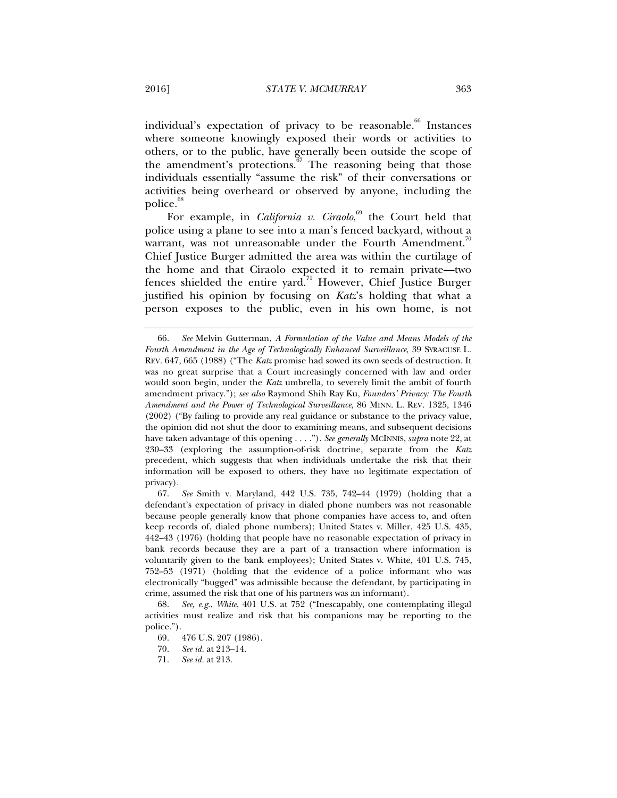individual's expectation of privacy to be reasonable.<sup>66</sup> Instances where someone knowingly exposed their words or activities to others, or to the public, have generally been outside the scope of the amendment's protections.<sup>67</sup> The reasoning being that those individuals essentially "assume the risk" of their conversations or activities being overheard or observed by anyone, including the police.<sup>68</sup>

For example, in *California v. Ciraolo*,<sup>69</sup> the Court held that police using a plane to see into a man's fenced backyard, without a warrant, was not unreasonable under the Fourth Amendment.<sup>70</sup> Chief Justice Burger admitted the area was within the curtilage of the home and that Ciraolo expected it to remain private—two fences shielded the entire yard.71 However, Chief Justice Burger justified his opinion by focusing on *Katz*'s holding that what a person exposes to the public, even in his own home, is not

 67. *See* Smith v. Maryland, 442 U.S. 735, 742–44 (1979) (holding that a defendant's expectation of privacy in dialed phone numbers was not reasonable because people generally know that phone companies have access to, and often keep records of, dialed phone numbers); United States v. Miller, 425 U.S. 435, 442–43 (1976) (holding that people have no reasonable expectation of privacy in bank records because they are a part of a transaction where information is voluntarily given to the bank employees); United States v. White, 401 U.S. 745, 752–53 (1971) (holding that the evidence of a police informant who was electronically "bugged" was admissible because the defendant, by participating in crime, assumed the risk that one of his partners was an informant).

 68. *See, e.g.*, *White*, 401 U.S. at 752 ("Inescapably, one contemplating illegal activities must realize and risk that his companions may be reporting to the police.").

 <sup>66.</sup> *See* Melvin Gutterman, *A Formulation of the Value and Means Models of the Fourth Amendment in the Age of Technologically Enhanced Surveillance*, 39 SYRACUSE L. REV. 647, 665 (1988) ("The *Katz* promise had sowed its own seeds of destruction. It was no great surprise that a Court increasingly concerned with law and order would soon begin, under the *Katz* umbrella, to severely limit the ambit of fourth amendment privacy."); *see also* Raymond Shih Ray Ku, *Founders' Privacy: The Fourth Amendment and the Power of Technological Surveillance*, 86 MINN. L. REV. 1325, 1346 (2002) ("By failing to provide any real guidance or substance to the privacy value, the opinion did not shut the door to examining means, and subsequent decisions have taken advantage of this opening . . . ."). *See generally* MCINNIS, *supra* note 22, at 230–33 (exploring the assumption-of-risk doctrine, separate from the *Katz*  precedent, which suggests that when individuals undertake the risk that their information will be exposed to others, they have no legitimate expectation of privacy).

 <sup>69. 476</sup> U.S. 207 (1986).

 <sup>70.</sup> *See id.* at 213–14.

 <sup>71.</sup> *See id.* at 213.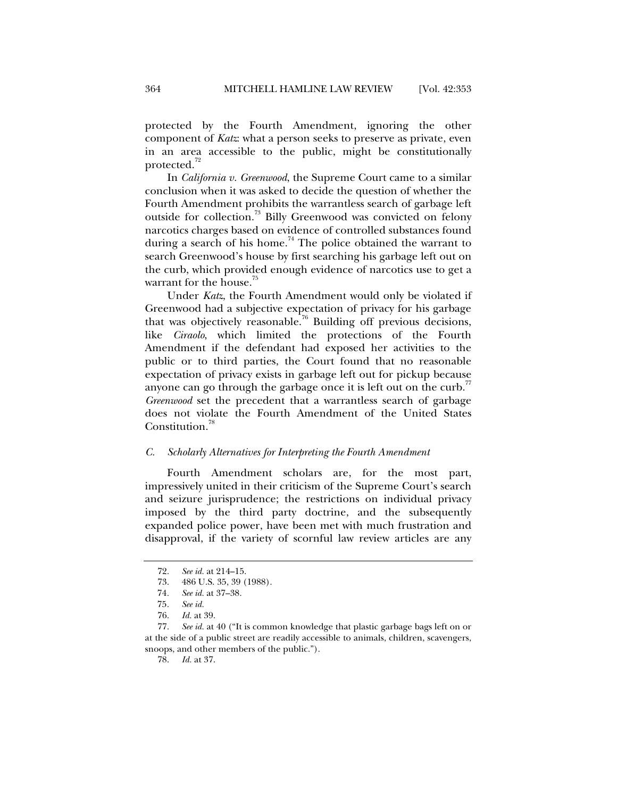protected by the Fourth Amendment, ignoring the other component of *Katz*: what a person seeks to preserve as private, even in an area accessible to the public, might be constitutionally protected.<sup>72</sup>

In *California v. Greenwood*, the Supreme Court came to a similar conclusion when it was asked to decide the question of whether the Fourth Amendment prohibits the warrantless search of garbage left outside for collection.<sup>73</sup> Billy Greenwood was convicted on felony narcotics charges based on evidence of controlled substances found during a search of his home.<sup>74</sup> The police obtained the warrant to search Greenwood's house by first searching his garbage left out on the curb, which provided enough evidence of narcotics use to get a warrant for the house.<sup>75</sup>

Under *Katz*, the Fourth Amendment would only be violated if Greenwood had a subjective expectation of privacy for his garbage that was objectively reasonable.<sup>76</sup> Building off previous decisions, like *Ciraolo*, which limited the protections of the Fourth Amendment if the defendant had exposed her activities to the public or to third parties, the Court found that no reasonable expectation of privacy exists in garbage left out for pickup because anyone can go through the garbage once it is left out on the curb.<sup>77</sup> *Greenwood* set the precedent that a warrantless search of garbage does not violate the Fourth Amendment of the United States Constitution.<sup>78</sup>

#### *C. Scholarly Alternatives for Interpreting the Fourth Amendment*

Fourth Amendment scholars are, for the most part, impressively united in their criticism of the Supreme Court's search and seizure jurisprudence; the restrictions on individual privacy imposed by the third party doctrine, and the subsequently expanded police power, have been met with much frustration and disapproval, if the variety of scornful law review articles are any

78. *Id.* at 37.

 <sup>72.</sup> *See id.* at 214–15.

 <sup>73. 486</sup> U.S. 35, 39 (1988).

<sup>74</sup>*. See id.* at 37–38.

<sup>75</sup>*. See id.*

 <sup>76.</sup> *Id.* at 39.

 <sup>77.</sup> *See id.* at 40 ("It is common knowledge that plastic garbage bags left on or at the side of a public street are readily accessible to animals, children, scavengers, snoops, and other members of the public.").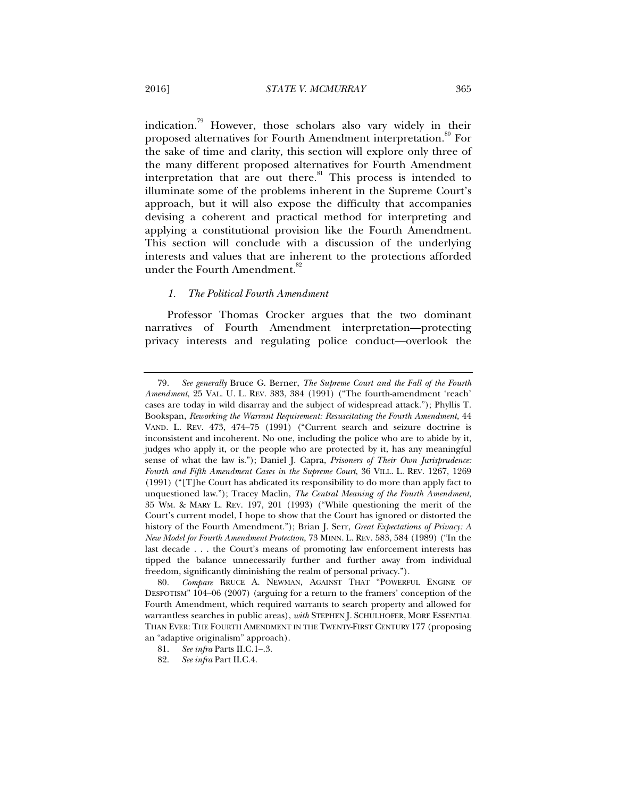indication.<sup>79</sup> However, those scholars also vary widely in their proposed alternatives for Fourth Amendment interpretation.<sup>80</sup> For the sake of time and clarity, this section will explore only three of the many different proposed alternatives for Fourth Amendment interpretation that are out there. $81$  This process is intended to illuminate some of the problems inherent in the Supreme Court's approach, but it will also expose the difficulty that accompanies devising a coherent and practical method for interpreting and applying a constitutional provision like the Fourth Amendment. This section will conclude with a discussion of the underlying interests and values that are inherent to the protections afforded under the Fourth Amendment.<sup>82</sup>

#### *1. The Political Fourth Amendment*

Professor Thomas Crocker argues that the two dominant narratives of Fourth Amendment interpretation—protecting privacy interests and regulating police conduct—overlook the

 <sup>79.</sup> *See generally* Bruce G. Berner, *The Supreme Court and the Fall of the Fourth Amendment*, 25 VAL. U. L. REV. 383, 384 (1991) ("The fourth-amendment 'reach' cases are today in wild disarray and the subject of widespread attack."); Phyllis T. Bookspan, *Reworking the Warrant Requirement: Resuscitating the Fourth Amendment*, 44 VAND. L. REV. 473, 474–75 (1991) ("Current search and seizure doctrine is inconsistent and incoherent. No one, including the police who are to abide by it, judges who apply it, or the people who are protected by it, has any meaningful sense of what the law is."); Daniel J. Capra, *Prisoners of Their Own Jurisprudence: Fourth and Fifth Amendment Cases in the Supreme Court*, 36 VILL. L. REV. 1267, 1269 (1991) ("[T]he Court has abdicated its responsibility to do more than apply fact to unquestioned law."); Tracey Maclin, *The Central Meaning of the Fourth Amendment*, 35 WM. & MARY L. REV. 197, 201 (1993) ("While questioning the merit of the Court's current model, I hope to show that the Court has ignored or distorted the history of the Fourth Amendment."); Brian J. Serr, *Great Expectations of Privacy: A New Model for Fourth Amendment Protection*, 73 MINN. L. REV. 583, 584 (1989) ("In the last decade . . . the Court's means of promoting law enforcement interests has tipped the balance unnecessarily further and further away from individual freedom, significantly diminishing the realm of personal privacy.").

 <sup>80.</sup> *Compare* BRUCE A. NEWMAN, AGAINST THAT "POWERFUL ENGINE OF DESPOTISM" 104–06 (2007) (arguing for a return to the framers' conception of the Fourth Amendment, which required warrants to search property and allowed for warrantless searches in public areas), *with* STEPHEN J. SCHULHOFER, MORE ESSENTIAL THAN EVER: THE FOURTH AMENDMENT IN THE TWENTY-FIRST CENTURY 177 (proposing an "adaptive originalism" approach).

 <sup>81.</sup> *See infra* Parts II.C.1–.3.

 <sup>82.</sup> *See infra* Part II.C.4.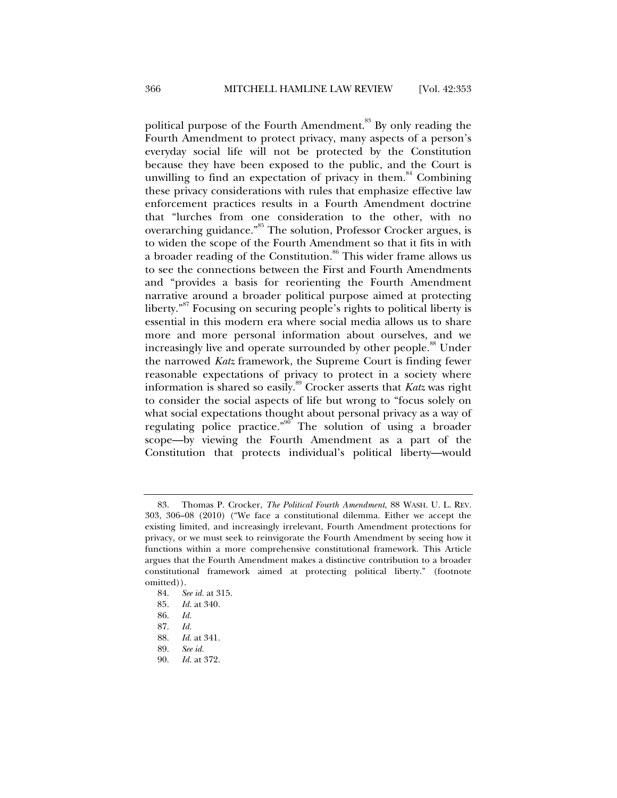political purpose of the Fourth Amendment.<sup>83</sup> By only reading the Fourth Amendment to protect privacy, many aspects of a person's everyday social life will not be protected by the Constitution because they have been exposed to the public, and the Court is unwilling to find an expectation of privacy in them. $84$  Combining these privacy considerations with rules that emphasize effective law enforcement practices results in a Fourth Amendment doctrine that "lurches from one consideration to the other, with no overarching guidance."<sup>85</sup> The solution, Professor Crocker argues, is to widen the scope of the Fourth Amendment so that it fits in with a broader reading of the Constitution.<sup>86</sup> This wider frame allows us to see the connections between the First and Fourth Amendments and "provides a basis for reorienting the Fourth Amendment narrative around a broader political purpose aimed at protecting liberty."87 Focusing on securing people's rights to political liberty is essential in this modern era where social media allows us to share more and more personal information about ourselves, and we increasingly live and operate surrounded by other people.<sup>88</sup> Under the narrowed *Katz* framework, the Supreme Court is finding fewer reasonable expectations of privacy to protect in a society where information is shared so easily.89 Crocker asserts that *Katz* was right to consider the social aspects of life but wrong to "focus solely on what social expectations thought about personal privacy as a way of regulating police practice."<sup>90</sup> The solution of using a broader scope—by viewing the Fourth Amendment as a part of the Constitution that protects individual's political liberty—would

 <sup>83.</sup> Thomas P. Crocker, *The Political Fourth Amendment*, 88 WASH. U. L. REV. 303, 306–08 (2010) ("We face a constitutional dilemma. Either we accept the existing limited, and increasingly irrelevant, Fourth Amendment protections for privacy, or we must seek to reinvigorate the Fourth Amendment by seeing how it functions within a more comprehensive constitutional framework. This Article argues that the Fourth Amendment makes a distinctive contribution to a broader constitutional framework aimed at protecting political liberty." (footnote omitted)).

 <sup>84.</sup> *See id.* at 315.

<sup>85</sup>*. Id.* at 340.

 <sup>86.</sup> *Id.*

 <sup>87.</sup> *Id.*

 <sup>88.</sup> *Id.* at 341.

 <sup>89.</sup> *See id.*

 <sup>90.</sup> *Id.* at 372.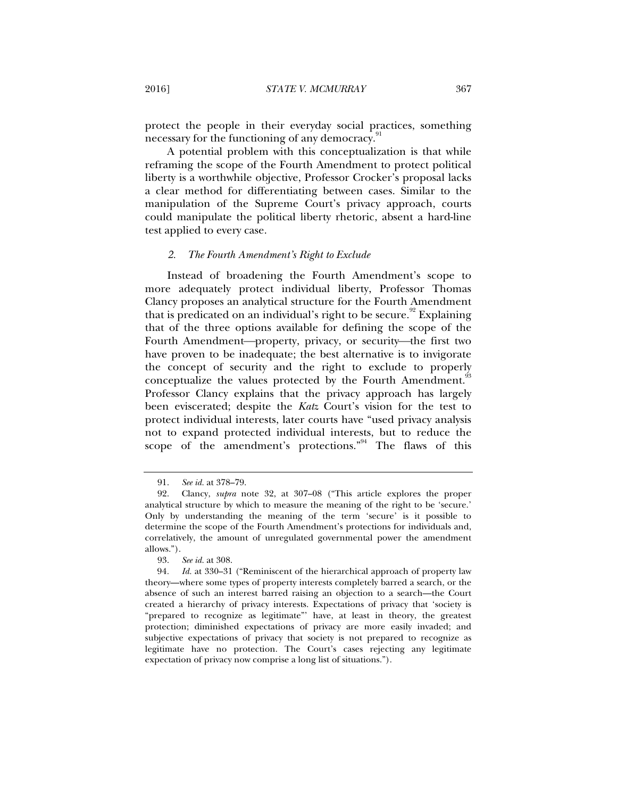protect the people in their everyday social practices, something necessary for the functioning of any democracy.

A potential problem with this conceptualization is that while reframing the scope of the Fourth Amendment to protect political liberty is a worthwhile objective, Professor Crocker's proposal lacks a clear method for differentiating between cases. Similar to the manipulation of the Supreme Court's privacy approach, courts could manipulate the political liberty rhetoric, absent a hard-line test applied to every case.

#### *2. The Fourth Amendment's Right to Exclude*

Instead of broadening the Fourth Amendment's scope to more adequately protect individual liberty, Professor Thomas Clancy proposes an analytical structure for the Fourth Amendment that is predicated on an individual's right to be secure.<sup>92</sup> Explaining that of the three options available for defining the scope of the Fourth Amendment—property, privacy, or security—the first two have proven to be inadequate; the best alternative is to invigorate the concept of security and the right to exclude to properly conceptualize the values protected by the Fourth Amendment.<sup>33</sup> Professor Clancy explains that the privacy approach has largely been eviscerated; despite the *Katz* Court's vision for the test to protect individual interests, later courts have "used privacy analysis not to expand protected individual interests, but to reduce the scope of the amendment's protections."<sup>94</sup> The flaws of this

 <sup>91.</sup> *See id.* at 378–79.

 <sup>92.</sup> Clancy, *supra* note 32, at 307–08 ("This article explores the proper analytical structure by which to measure the meaning of the right to be 'secure.' Only by understanding the meaning of the term 'secure' is it possible to determine the scope of the Fourth Amendment's protections for individuals and, correlatively, the amount of unregulated governmental power the amendment allows.").

 <sup>93.</sup> *See id.* at 308.

<sup>94</sup>*. Id.* at 330–31 ("Reminiscent of the hierarchical approach of property law theory—where some types of property interests completely barred a search, or the absence of such an interest barred raising an objection to a search—the Court created a hierarchy of privacy interests. Expectations of privacy that 'society is "prepared to recognize as legitimate"' have, at least in theory, the greatest protection; diminished expectations of privacy are more easily invaded; and subjective expectations of privacy that society is not prepared to recognize as legitimate have no protection. The Court's cases rejecting any legitimate expectation of privacy now comprise a long list of situations.").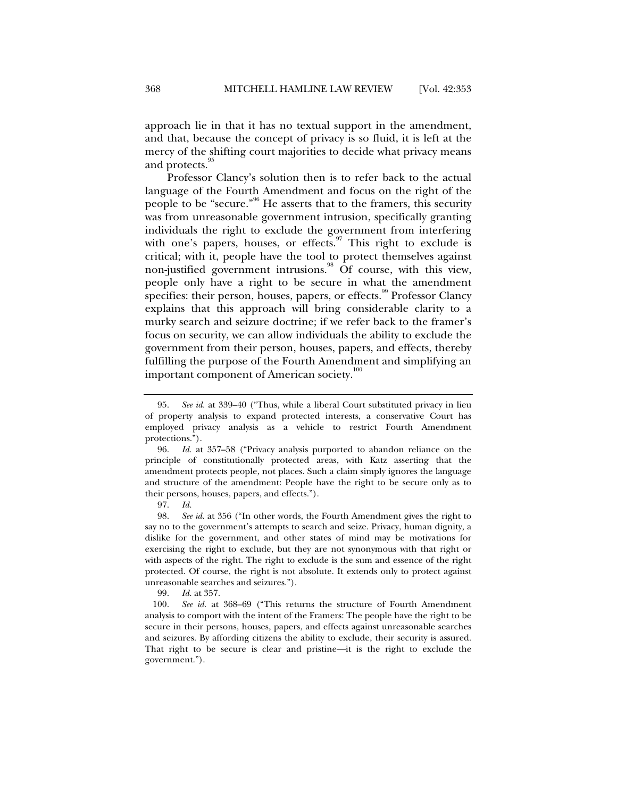approach lie in that it has no textual support in the amendment, and that, because the concept of privacy is so fluid, it is left at the mercy of the shifting court majorities to decide what privacy means and protects.<sup>95</sup>

Professor Clancy's solution then is to refer back to the actual language of the Fourth Amendment and focus on the right of the people to be "secure."96 He asserts that to the framers, this security was from unreasonable government intrusion, specifically granting individuals the right to exclude the government from interfering with one's papers, houses, or effects.<sup>97</sup> This right to exclude is critical; with it, people have the tool to protect themselves against non-justified government intrusions.<sup>98</sup> Of course, with this view, people only have a right to be secure in what the amendment specifies: their person, houses, papers, or effects.<sup>99</sup> Professor Clancy explains that this approach will bring considerable clarity to a murky search and seizure doctrine; if we refer back to the framer's focus on security, we can allow individuals the ability to exclude the government from their person, houses, papers, and effects, thereby fulfilling the purpose of the Fourth Amendment and simplifying an important component of American society.<sup>100</sup>

 98. *See id.* at 356 ("In other words, the Fourth Amendment gives the right to say no to the government's attempts to search and seize. Privacy, human dignity, a dislike for the government, and other states of mind may be motivations for exercising the right to exclude, but they are not synonymous with that right or with aspects of the right. The right to exclude is the sum and essence of the right protected. Of course, the right is not absolute. It extends only to protect against unreasonable searches and seizures.").

99. *Id.* at 357.

 100. *See id.* at 368–69 ("This returns the structure of Fourth Amendment analysis to comport with the intent of the Framers: The people have the right to be secure in their persons, houses, papers, and effects against unreasonable searches and seizures. By affording citizens the ability to exclude, their security is assured. That right to be secure is clear and pristine—it is the right to exclude the government.").

 <sup>95.</sup> *See id.* at 339–40 ("Thus, while a liberal Court substituted privacy in lieu of property analysis to expand protected interests, a conservative Court has employed privacy analysis as a vehicle to restrict Fourth Amendment protections.").

 <sup>96.</sup> *Id.* at 357–58 ("Privacy analysis purported to abandon reliance on the principle of constitutionally protected areas, with Katz asserting that the amendment protects people, not places. Such a claim simply ignores the language and structure of the amendment: People have the right to be secure only as to their persons, houses, papers, and effects.").

 <sup>97.</sup> *Id.*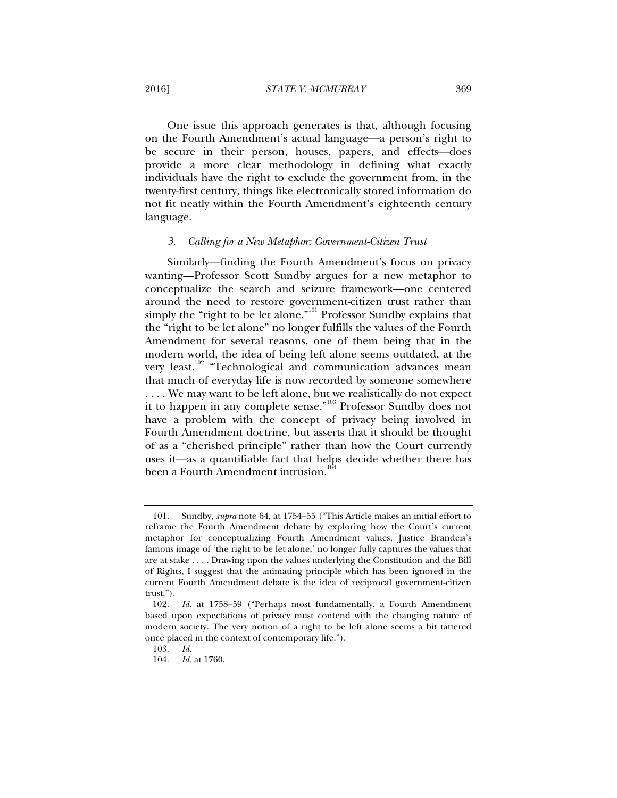One issue this approach generates is that, although focusing on the Fourth Amendment's actual language—a person's right to be secure in their person, houses, papers, and effects—does provide a more clear methodology in defining what exactly individuals have the right to exclude the government from, in the twenty-first century, things like electronically stored information do not fit neatly within the Fourth Amendment's eighteenth century language.

#### *3. Calling for a New Metaphor: Government-Citizen Trust*

Similarly—finding the Fourth Amendment's focus on privacy wanting—Professor Scott Sundby argues for a new metaphor to conceptualize the search and seizure framework—one centered around the need to restore government-citizen trust rather than simply the "right to be let alone."<sup>101</sup> Professor Sundby explains that the "right to be let alone" no longer fulfills the values of the Fourth Amendment for several reasons, one of them being that in the modern world, the idea of being left alone seems outdated, at the very least.<sup>102</sup> "Technological and communication advances mean that much of everyday life is now recorded by someone somewhere . . . . We may want to be left alone, but we realistically do not expect it to happen in any complete sense."103 Professor Sundby does not have a problem with the concept of privacy being involved in Fourth Amendment doctrine, but asserts that it should be thought of as a "cherished principle" rather than how the Court currently uses it—as a quantifiable fact that helps decide whether there has been a Fourth Amendment intrusion. $10^6$ 

 <sup>101.</sup> Sundby, *supra* note 64, at 1754–55 ("This Article makes an initial effort to reframe the Fourth Amendment debate by exploring how the Court's current metaphor for conceptualizing Fourth Amendment values, Justice Brandeis's famous image of 'the right to be let alone,' no longer fully captures the values that are at stake . . . . Drawing upon the values underlying the Constitution and the Bill of Rights, I suggest that the animating principle which has been ignored in the current Fourth Amendment debate is the idea of reciprocal government-citizen trust.").

<sup>102</sup>*. Id.* at 1758–59 ("Perhaps most fundamentally, a Fourth Amendment based upon expectations of privacy must contend with the changing nature of modern society. The very notion of a right to be left alone seems a bit tattered once placed in the context of contemporary life.").

 <sup>103.</sup> *Id.*

 <sup>104.</sup> *Id.* at 1760.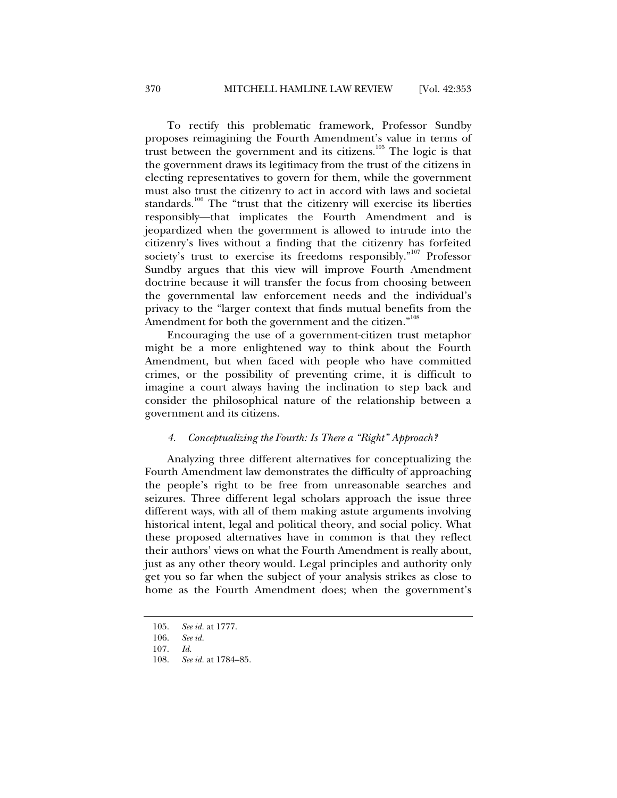To rectify this problematic framework, Professor Sundby proposes reimagining the Fourth Amendment's value in terms of trust between the government and its citizens.<sup>105</sup> The logic is that the government draws its legitimacy from the trust of the citizens in electing representatives to govern for them, while the government must also trust the citizenry to act in accord with laws and societal standards.<sup>106</sup> The "trust that the citizenry will exercise its liberties responsibly—that implicates the Fourth Amendment and is jeopardized when the government is allowed to intrude into the citizenry's lives without a finding that the citizenry has forfeited society's trust to exercise its freedoms responsibly."<sup>107</sup> Professor Sundby argues that this view will improve Fourth Amendment doctrine because it will transfer the focus from choosing between the governmental law enforcement needs and the individual's privacy to the "larger context that finds mutual benefits from the Amendment for both the government and the citizen."<sup>108</sup>

Encouraging the use of a government-citizen trust metaphor might be a more enlightened way to think about the Fourth Amendment, but when faced with people who have committed crimes, or the possibility of preventing crime, it is difficult to imagine a court always having the inclination to step back and consider the philosophical nature of the relationship between a government and its citizens.

#### *4. Conceptualizing the Fourth: Is There a "Right" Approach?*

Analyzing three different alternatives for conceptualizing the Fourth Amendment law demonstrates the difficulty of approaching the people's right to be free from unreasonable searches and seizures. Three different legal scholars approach the issue three different ways, with all of them making astute arguments involving historical intent, legal and political theory, and social policy. What these proposed alternatives have in common is that they reflect their authors' views on what the Fourth Amendment is really about, just as any other theory would. Legal principles and authority only get you so far when the subject of your analysis strikes as close to home as the Fourth Amendment does; when the government's

 <sup>105.</sup> *See id.* at 1777.

 <sup>106.</sup> *See id.*

<sup>107</sup>*. Id.* 

 <sup>108.</sup> *See id.* at 1784–85.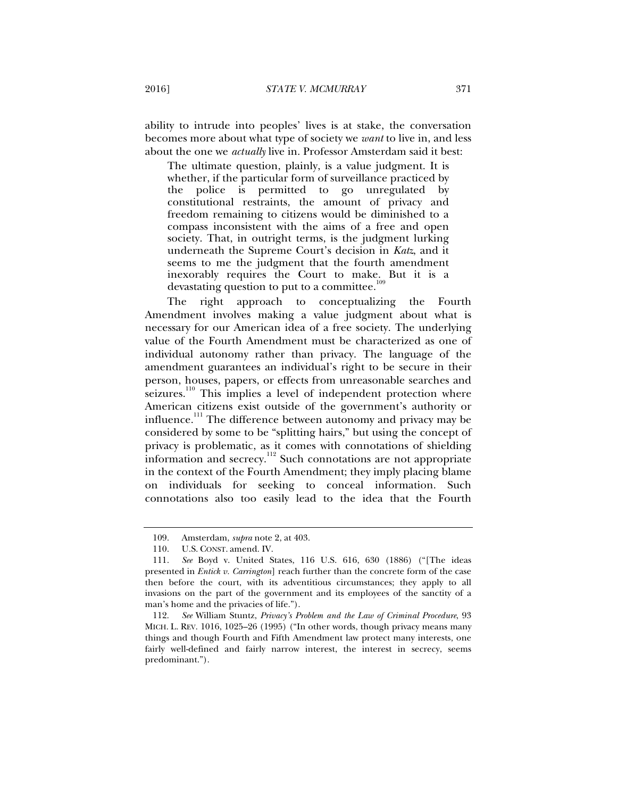ability to intrude into peoples' lives is at stake, the conversation becomes more about what type of society we *want* to live in, and less about the one we *actually* live in. Professor Amsterdam said it best:

The ultimate question, plainly, is a value judgment. It is whether, if the particular form of surveillance practiced by the police is permitted to go unregulated by constitutional restraints, the amount of privacy and freedom remaining to citizens would be diminished to a compass inconsistent with the aims of a free and open society. That, in outright terms, is the judgment lurking underneath the Supreme Court's decision in *Katz*, and it seems to me the judgment that the fourth amendment inexorably requires the Court to make. But it is a devastating question to put to a committee.<sup>1</sup>

The right approach to conceptualizing the Fourth Amendment involves making a value judgment about what is necessary for our American idea of a free society. The underlying value of the Fourth Amendment must be characterized as one of individual autonomy rather than privacy. The language of the amendment guarantees an individual's right to be secure in their person, houses, papers, or effects from unreasonable searches and seizures.<sup>110</sup> This implies a level of independent protection where American citizens exist outside of the government's authority or influence.<sup>111</sup> The difference between autonomy and privacy may be considered by some to be "splitting hairs," but using the concept of privacy is problematic, as it comes with connotations of shielding information and secrecy.<sup>112</sup> Such connotations are not appropriate in the context of the Fourth Amendment; they imply placing blame on individuals for seeking to conceal information. Such connotations also too easily lead to the idea that the Fourth

 <sup>109.</sup> Amsterdam, *supra* note 2, at 403.

U.S. CONST. amend. IV.

 <sup>111.</sup> *See* Boyd v. United States, 116 U.S. 616, 630 (1886) ("[The ideas presented in *Entick v. Carrington*] reach further than the concrete form of the case then before the court, with its adventitious circumstances; they apply to all invasions on the part of the government and its employees of the sanctity of a man's home and the privacies of life.").

 <sup>112.</sup> *See* William Stuntz, *Privacy's Problem and the Law of Criminal Procedure*, 93 MICH. L. REV. 1016, 1025–26 (1995) ("In other words, though privacy means many things and though Fourth and Fifth Amendment law protect many interests, one fairly well-defined and fairly narrow interest, the interest in secrecy, seems predominant.").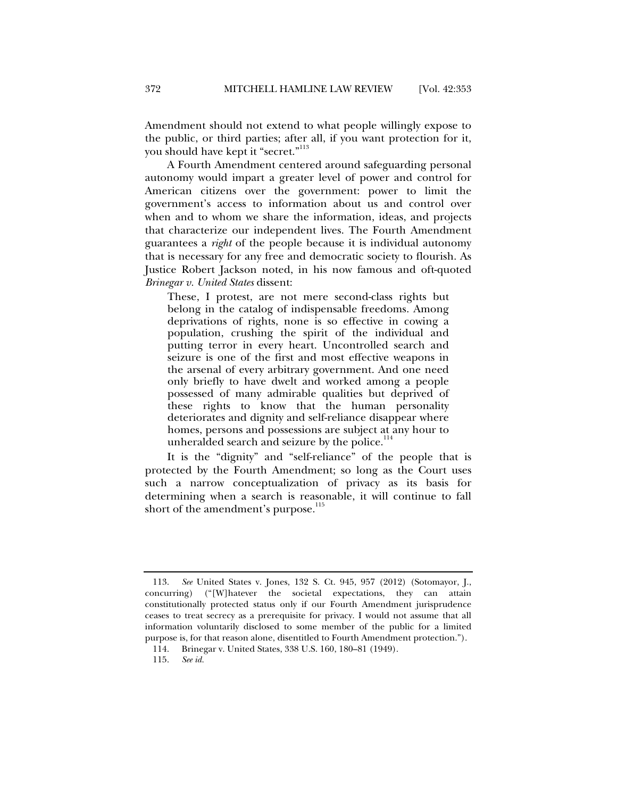Amendment should not extend to what people willingly expose to the public, or third parties; after all, if you want protection for it, you should have kept it "secret."<sup>113</sup>

A Fourth Amendment centered around safeguarding personal autonomy would impart a greater level of power and control for American citizens over the government: power to limit the government's access to information about us and control over when and to whom we share the information, ideas, and projects that characterize our independent lives. The Fourth Amendment guarantees a *right* of the people because it is individual autonomy that is necessary for any free and democratic society to flourish. As Justice Robert Jackson noted, in his now famous and oft-quoted *Brinegar v. United States* dissent:

These, I protest, are not mere second-class rights but belong in the catalog of indispensable freedoms. Among deprivations of rights, none is so effective in cowing a population, crushing the spirit of the individual and putting terror in every heart. Uncontrolled search and seizure is one of the first and most effective weapons in the arsenal of every arbitrary government. And one need only briefly to have dwelt and worked among a people possessed of many admirable qualities but deprived of these rights to know that the human personality deteriorates and dignity and self-reliance disappear where homes, persons and possessions are subject at any hour to unheralded search and seizure by the police.<sup>114</sup>

It is the "dignity" and "self-reliance" of the people that is protected by the Fourth Amendment; so long as the Court uses such a narrow conceptualization of privacy as its basis for determining when a search is reasonable, it will continue to fall short of the amendment's purpose.<sup>115</sup>

 <sup>113.</sup> *See* United States v. Jones, 132 S. Ct. 945, 957 (2012) (Sotomayor, J., concurring) ("[W]hatever the societal expectations, they can attain constitutionally protected status only if our Fourth Amendment jurisprudence ceases to treat secrecy as a prerequisite for privacy. I would not assume that all information voluntarily disclosed to some member of the public for a limited purpose is, for that reason alone, disentitled to Fourth Amendment protection.").

 <sup>114.</sup> Brinegar v. United States, 338 U.S. 160, 180–81 (1949).

 <sup>115.</sup> *See id.*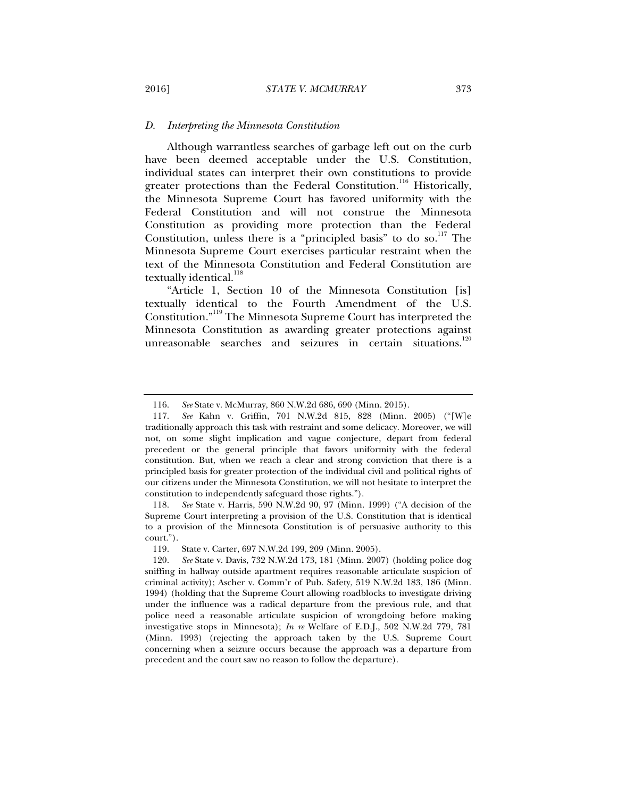#### *D. Interpreting the Minnesota Constitution*

Although warrantless searches of garbage left out on the curb have been deemed acceptable under the U.S. Constitution, individual states can interpret their own constitutions to provide greater protections than the Federal Constitution.<sup>116</sup> Historically, the Minnesota Supreme Court has favored uniformity with the Federal Constitution and will not construe the Minnesota Constitution as providing more protection than the Federal Constitution, unless there is a "principled basis" to do so.<sup>117</sup> The Minnesota Supreme Court exercises particular restraint when the text of the Minnesota Constitution and Federal Constitution are textually identical.<sup>118</sup>

"Article 1, Section 10 of the Minnesota Constitution [is] textually identical to the Fourth Amendment of the U.S. Constitution."119 The Minnesota Supreme Court has interpreted the Minnesota Constitution as awarding greater protections against unreasonable searches and seizures in certain situations.<sup>120</sup>

 118. *See* State v. Harris, 590 N.W.2d 90, 97 (Minn. 1999) ("A decision of the Supreme Court interpreting a provision of the U.S. Constitution that is identical to a provision of the Minnesota Constitution is of persuasive authority to this court.").

 <sup>116.</sup> *See* State v. McMurray, 860 N.W.2d 686, 690 (Minn. 2015).

 <sup>117.</sup> *See* Kahn v. Griffin, 701 N.W.2d 815, 828 (Minn. 2005) ("[W]e traditionally approach this task with restraint and some delicacy. Moreover, we will not, on some slight implication and vague conjecture, depart from federal precedent or the general principle that favors uniformity with the federal constitution. But, when we reach a clear and strong conviction that there is a principled basis for greater protection of the individual civil and political rights of our citizens under the Minnesota Constitution, we will not hesitate to interpret the constitution to independently safeguard those rights.").

 <sup>119.</sup> State v. Carter, 697 N.W.2d 199, 209 (Minn. 2005).

 <sup>120.</sup> *See* State v. Davis, 732 N.W.2d 173, 181 (Minn. 2007) (holding police dog sniffing in hallway outside apartment requires reasonable articulate suspicion of criminal activity); Ascher v. Comm'r of Pub. Safety, 519 N.W.2d 183, 186 (Minn. 1994) (holding that the Supreme Court allowing roadblocks to investigate driving under the influence was a radical departure from the previous rule, and that police need a reasonable articulate suspicion of wrongdoing before making investigative stops in Minnesota); *In re* Welfare of E.D.J., 502 N.W.2d 779, 781 (Minn. 1993) (rejecting the approach taken by the U.S. Supreme Court concerning when a seizure occurs because the approach was a departure from precedent and the court saw no reason to follow the departure).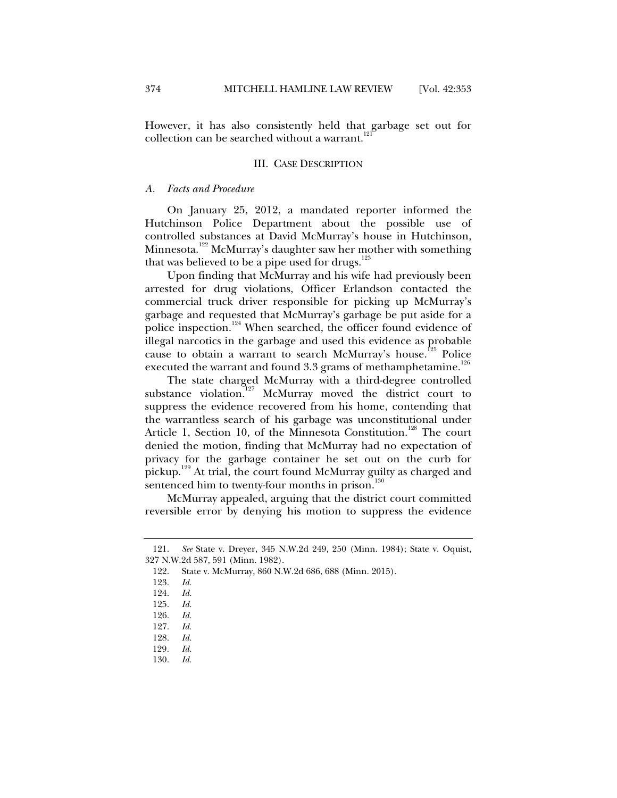However, it has also consistently held that garbage set out for collection can be searched without a warrant. $12$ 

#### III. CASE DESCRIPTION

#### *A. Facts and Procedure*

On January 25, 2012, a mandated reporter informed the Hutchinson Police Department about the possible use of controlled substances at David McMurray's house in Hutchinson, Minnesota.<sup>122</sup> McMurray's daughter saw her mother with something that was believed to be a pipe used for drugs. $123$ 

Upon finding that McMurray and his wife had previously been arrested for drug violations, Officer Erlandson contacted the commercial truck driver responsible for picking up McMurray's garbage and requested that McMurray's garbage be put aside for a police inspection.<sup>124</sup> When searched, the officer found evidence of illegal narcotics in the garbage and used this evidence as probable cause to obtain a warrant to search McMurray's house.<sup>125</sup> Police executed the warrant and found 3.3 grams of methamphetamine.<sup>126</sup>

The state charged McMurray with a third-degree controlled substance violation.<sup>127</sup> McMurray moved the district court to suppress the evidence recovered from his home, contending that the warrantless search of his garbage was unconstitutional under Article 1, Section 10, of the Minnesota Constitution.<sup>128</sup> The court denied the motion, finding that McMurray had no expectation of privacy for the garbage container he set out on the curb for pickup.129 At trial, the court found McMurray guilty as charged and sentenced him to twenty-four months in prison.<sup>130</sup>

McMurray appealed, arguing that the district court committed reversible error by denying his motion to suppress the evidence

 <sup>121.</sup> *See* State v. Dreyer, 345 N.W.2d 249, 250 (Minn. 1984); State v. Oquist, 327 N.W.2d 587, 591 (Minn. 1982).

 <sup>122.</sup> State v. McMurray, 860 N.W.2d 686, 688 (Minn. 2015).

 <sup>123.</sup> *Id.*

 <sup>124.</sup> *Id.*

 <sup>125.</sup> *Id.*

 <sup>126.</sup> *Id.*

 <sup>127.</sup> *Id.*

 <sup>128.</sup> *Id.*

<sup>129</sup>*. Id.*

 <sup>130.</sup> *Id.*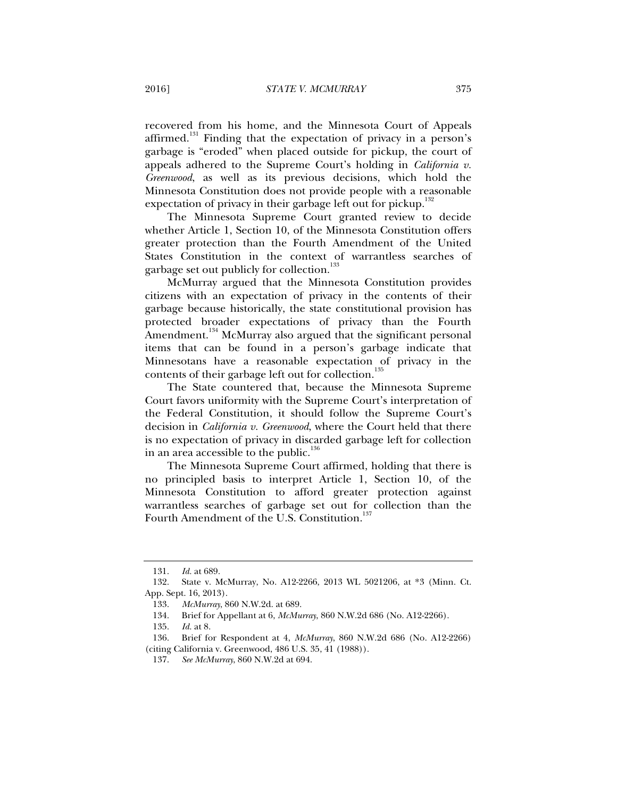recovered from his home, and the Minnesota Court of Appeals affirmed.<sup>131</sup> Finding that the expectation of privacy in a person's garbage is "eroded" when placed outside for pickup, the court of appeals adhered to the Supreme Court's holding in *California v. Greenwood*, as well as its previous decisions, which hold the Minnesota Constitution does not provide people with a reasonable expectation of privacy in their garbage left out for pickup.<sup>132</sup>

The Minnesota Supreme Court granted review to decide whether Article 1, Section 10, of the Minnesota Constitution offers greater protection than the Fourth Amendment of the United States Constitution in the context of warrantless searches of garbage set out publicly for collection.<sup>133</sup>

McMurray argued that the Minnesota Constitution provides citizens with an expectation of privacy in the contents of their garbage because historically, the state constitutional provision has protected broader expectations of privacy than the Fourth Amendment.<sup>134</sup> McMurray also argued that the significant personal items that can be found in a person's garbage indicate that Minnesotans have a reasonable expectation of privacy in the contents of their garbage left out for collection.<sup>135</sup>

The State countered that, because the Minnesota Supreme Court favors uniformity with the Supreme Court's interpretation of the Federal Constitution, it should follow the Supreme Court's decision in *California v. Greenwood*, where the Court held that there is no expectation of privacy in discarded garbage left for collection in an area accessible to the public.<sup>136</sup>

The Minnesota Supreme Court affirmed, holding that there is no principled basis to interpret Article 1, Section 10, of the Minnesota Constitution to afford greater protection against warrantless searches of garbage set out for collection than the Fourth Amendment of the U.S. Constitution.<sup>137</sup>

 <sup>131.</sup> *Id.* at 689.

 <sup>132.</sup> State v. McMurray, No. A12-2266, 2013 WL 5021206, at \*3 (Minn. Ct. App. Sept. 16, 2013).

 <sup>133.</sup> *McMurray*, 860 N.W.2d. at 689.

 <sup>134.</sup> Brief for Appellant at 6, *McMurray*, 860 N.W.2d 686 (No. A12-2266).

 <sup>135.</sup> *Id.* at 8.

 <sup>136.</sup> Brief for Respondent at 4, *McMurray*, 860 N.W.2d 686 (No. A12-2266) (citing California v. Greenwood, 486 U.S. 35, 41 (1988)).

 <sup>137.</sup> *See McMurray*, 860 N.W.2d at 694.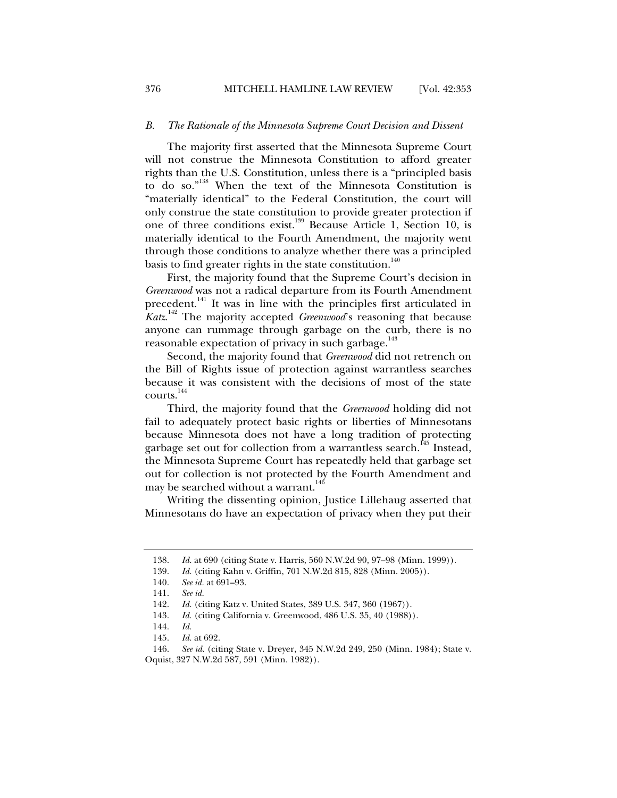#### *B. The Rationale of the Minnesota Supreme Court Decision and Dissent*

The majority first asserted that the Minnesota Supreme Court will not construe the Minnesota Constitution to afford greater rights than the U.S. Constitution, unless there is a "principled basis to do so."138 When the text of the Minnesota Constitution is "materially identical" to the Federal Constitution, the court will only construe the state constitution to provide greater protection if one of three conditions exist.<sup>139</sup> Because Article 1, Section 10, is materially identical to the Fourth Amendment, the majority went through those conditions to analyze whether there was a principled basis to find greater rights in the state constitution.<sup>140</sup>

First, the majority found that the Supreme Court's decision in *Greenwood* was not a radical departure from its Fourth Amendment precedent.<sup>141</sup> It was in line with the principles first articulated in *Katz*. 142 The majority accepted *Greenwood*'s reasoning that because anyone can rummage through garbage on the curb, there is no reasonable expectation of privacy in such garbage.<sup>143</sup>

Second, the majority found that *Greenwood* did not retrench on the Bill of Rights issue of protection against warrantless searches because it was consistent with the decisions of most of the state courts.<sup>144</sup>

Third, the majority found that the *Greenwood* holding did not fail to adequately protect basic rights or liberties of Minnesotans because Minnesota does not have a long tradition of protecting garbage set out for collection from a warrantless search.<sup>145</sup> Instead, the Minnesota Supreme Court has repeatedly held that garbage set out for collection is not protected by the Fourth Amendment and may be searched without a warrant.<sup>146</sup>

Writing the dissenting opinion, Justice Lillehaug asserted that Minnesotans do have an expectation of privacy when they put their

 <sup>138.</sup> *Id.* at 690 (citing State v. Harris, 560 N.W.2d 90, 97–98 (Minn. 1999)).

 <sup>139.</sup> *Id.* (citing Kahn v. Griffin, 701 N.W.2d 815, 828 (Minn. 2005)).

 <sup>140.</sup> *See id.* at 691–93.

 <sup>141.</sup> *See id.*

 <sup>142.</sup> *Id.* (citing Katz v. United States, 389 U.S. 347, 360 (1967)).

 <sup>143.</sup> *Id.* (citing California v. Greenwood, 486 U.S. 35, 40 (1988)).

 <sup>144.</sup> *Id.*

 <sup>145.</sup> *Id.* at 692.

 <sup>146.</sup> *See id.* (citing State v. Dreyer, 345 N.W.2d 249, 250 (Minn. 1984); State v. Oquist, 327 N.W.2d 587, 591 (Minn. 1982)).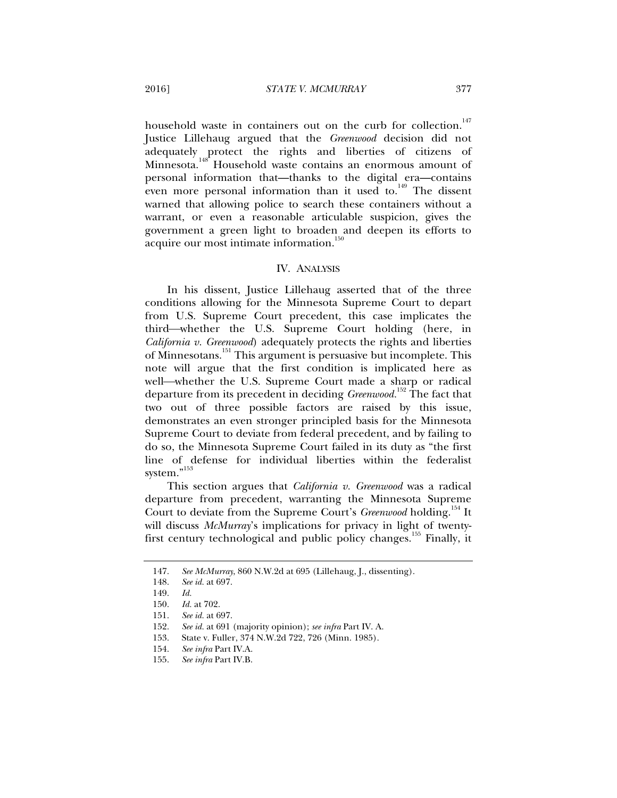household waste in containers out on the curb for collection.<sup>147</sup> Justice Lillehaug argued that the *Greenwood* decision did not adequately protect the rights and liberties of citizens of  $M$ innesota.<sup>148</sup> Household waste contains an enormous amount of personal information that—thanks to the digital era—contains even more personal information than it used to. $149$  The dissent warned that allowing police to search these containers without a warrant, or even a reasonable articulable suspicion, gives the government a green light to broaden and deepen its efforts to acquire our most intimate information.<sup>150</sup>

#### IV. ANALYSIS

In his dissent, Justice Lillehaug asserted that of the three conditions allowing for the Minnesota Supreme Court to depart from U.S. Supreme Court precedent, this case implicates the third—whether the U.S. Supreme Court holding (here, in *California v. Greenwood*) adequately protects the rights and liberties of Minnesotans.<sup>151</sup> This argument is persuasive but incomplete. This note will argue that the first condition is implicated here as well—whether the U.S. Supreme Court made a sharp or radical departure from its precedent in deciding *Greenwood.*152 The fact that two out of three possible factors are raised by this issue, demonstrates an even stronger principled basis for the Minnesota Supreme Court to deviate from federal precedent, and by failing to do so, the Minnesota Supreme Court failed in its duty as "the first line of defense for individual liberties within the federalist system."<sup>153</sup>

This section argues that *California v. Greenwood* was a radical departure from precedent, warranting the Minnesota Supreme Court to deviate from the Supreme Court's *Greenwood* holding.<sup>154</sup> It will discuss *McMurray*'s implications for privacy in light of twentyfirst century technological and public policy changes.155 Finally, it

 <sup>147.</sup> *See McMurray*, 860 N.W.2d at 695 (Lillehaug, J., dissenting).

 <sup>148.</sup> *See id.* at 697.

 <sup>149.</sup> *Id.* 

 <sup>150.</sup> *Id.* at 702.

 <sup>151.</sup> *See id.* at 697.

 <sup>152.</sup> *See id.* at 691 (majority opinion); *see infra* Part IV. A.

 <sup>153.</sup> State v. Fuller, 374 N.W.2d 722, 726 (Minn. 1985).

 <sup>154.</sup> *See infra* Part IV.A.

 <sup>155.</sup> *See infra* Part IV.B.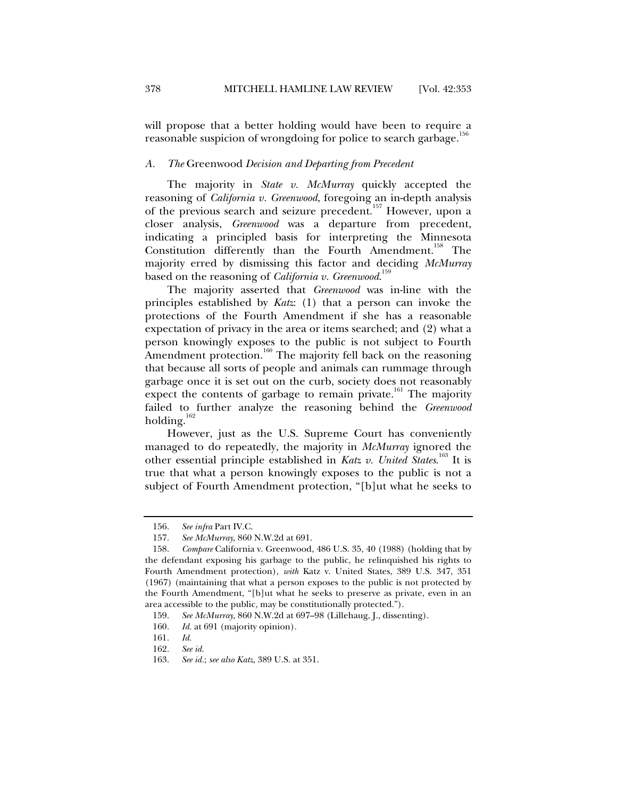will propose that a better holding would have been to require a reasonable suspicion of wrongdoing for police to search garbage.<sup>1</sup>

#### *A. The* Greenwood *Decision and Departing from Precedent*

The majority in *State v. McMurray* quickly accepted the reasoning of *California v. Greenwood*, foregoing an in-depth analysis of the previous search and seizure precedent.<sup>157</sup> However, upon a closer analysis, *Greenwood* was a departure from precedent, indicating a principled basis for interpreting the Minnesota Constitution differently than the Fourth Amendment.<sup>158</sup> The majority erred by dismissing this factor and deciding *McMurray* based on the reasoning of *California v. Greenwood*. 159

The majority asserted that *Greenwood* was in-line with the principles established by *Katz*: (1) that a person can invoke the protections of the Fourth Amendment if she has a reasonable expectation of privacy in the area or items searched; and (2) what a person knowingly exposes to the public is not subject to Fourth Amendment protection.<sup>160</sup> The majority fell back on the reasoning that because all sorts of people and animals can rummage through garbage once it is set out on the curb, society does not reasonably expect the contents of garbage to remain private.<sup>161</sup> The majority failed to further analyze the reasoning behind the *Greenwood*  holding. $162$ 

However, just as the U.S. Supreme Court has conveniently managed to do repeatedly, the majority in *McMurray* ignored the other essential principle established in *Katz v. United States*. 163 It is true that what a person knowingly exposes to the public is not a subject of Fourth Amendment protection, "[b]ut what he seeks to

 <sup>156.</sup> *See infra* Part IV.C.

 <sup>157.</sup> *See McMurray*, 860 N.W.2d at 691.

 <sup>158.</sup> *Compare* California v. Greenwood, 486 U.S. 35, 40 (1988) (holding that by the defendant exposing his garbage to the public, he relinquished his rights to Fourth Amendment protection), *with* Katz v. United States, 389 U.S. 347, 351 (1967) (maintaining that what a person exposes to the public is not protected by the Fourth Amendment, "[b]ut what he seeks to preserve as private, even in an area accessible to the public, may be constitutionally protected.").

 <sup>159.</sup> *See McMurray*, 860 N.W.2d at 697–98 (Lillehaug, J., dissenting).

 <sup>160.</sup> *Id.* at 691 (majority opinion).

 <sup>161.</sup> *Id.* 

 <sup>162.</sup> *See id.*

 <sup>163.</sup> *See id.*; *see also Katz*, 389 U.S. at 351.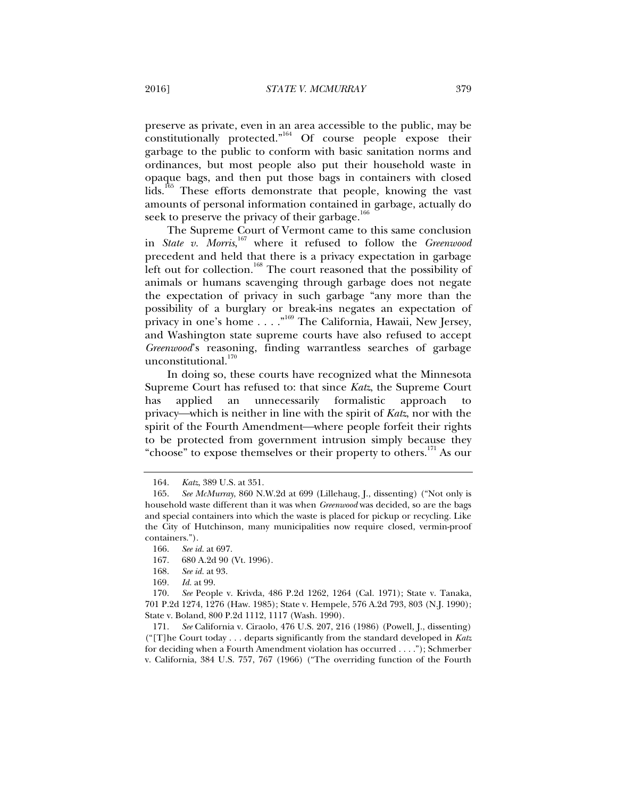preserve as private, even in an area accessible to the public, may be  $\overline{\text{constitution}}$  protected."<sup>164</sup> Of course people expose their garbage to the public to conform with basic sanitation norms and ordinances, but most people also put their household waste in opaque bags, and then put those bags in containers with closed lids.<sup>165</sup> These efforts demonstrate that people, knowing the vast amounts of personal information contained in garbage, actually do seek to preserve the privacy of their garbage.<sup>166</sup>

The Supreme Court of Vermont came to this same conclusion in *State v. Morris*, 167 where it refused to follow the *Greenwood* precedent and held that there is a privacy expectation in garbage left out for collection.<sup>168</sup> The court reasoned that the possibility of animals or humans scavenging through garbage does not negate the expectation of privacy in such garbage "any more than the possibility of a burglary or break-ins negates an expectation of privacy in one's home . . . . "<sup>169</sup> The California, Hawaii, New Jersey, and Washington state supreme courts have also refused to accept *Greenwood*'s reasoning, finding warrantless searches of garbage unconstitutional.<sup>170</sup>

In doing so, these courts have recognized what the Minnesota Supreme Court has refused to: that since *Katz*, the Supreme Court has applied an unnecessarily formalistic approach privacy—which is neither in line with the spirit of *Katz*, nor with the spirit of the Fourth Amendment—where people forfeit their rights to be protected from government intrusion simply because they "choose" to expose themselves or their property to others.<sup>171</sup> As our

 <sup>164.</sup> *Katz*, 389 U.S. at 351.

 <sup>165.</sup> *See McMurray*, 860 N.W.2d at 699 (Lillehaug, J., dissenting) ("Not only is household waste different than it was when *Greenwood* was decided, so are the bags and special containers into which the waste is placed for pickup or recycling. Like the City of Hutchinson, many municipalities now require closed, vermin-proof containers.").

 <sup>166.</sup> *See id.* at 697.

 <sup>167. 680</sup> A.2d 90 (Vt. 1996).

 <sup>168.</sup> *See id.* at 93.

<sup>169</sup>*. Id.* at 99.

 <sup>170.</sup> *See* People v. Krivda, 486 P.2d 1262, 1264 (Cal. 1971); State v. Tanaka, 701 P.2d 1274, 1276 (Haw. 1985); State v. Hempele, 576 A.2d 793, 803 (N.J. 1990); State v. Boland, 800 P.2d 1112, 1117 (Wash. 1990).

 <sup>171.</sup> *See* California v. Ciraolo, 476 U.S. 207, 216 (1986) (Powell, J., dissenting) ("[T]he Court today . . . departs significantly from the standard developed in *Katz* for deciding when a Fourth Amendment violation has occurred . . . ."); Schmerber v. California, 384 U.S. 757, 767 (1966) ("The overriding function of the Fourth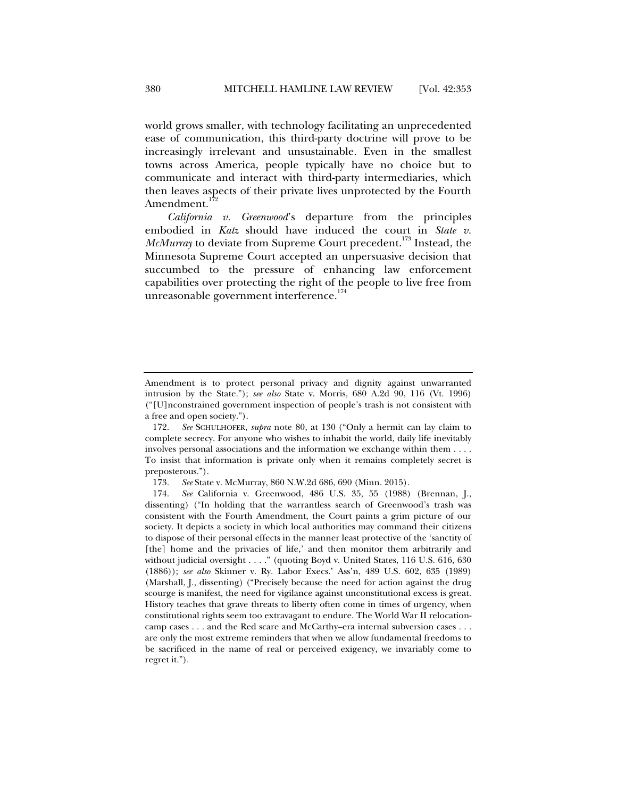world grows smaller, with technology facilitating an unprecedented ease of communication, this third-party doctrine will prove to be increasingly irrelevant and unsustainable. Even in the smallest towns across America, people typically have no choice but to communicate and interact with third-party intermediaries, which then leaves aspects of their private lives unprotected by the Fourth Amendment.<sup>1</sup>

*California v. Greenwood*'s departure from the principles embodied in *Katz* should have induced the court in *State v. McMurray* to deviate from Supreme Court precedent.<sup>173</sup> Instead, the Minnesota Supreme Court accepted an unpersuasive decision that succumbed to the pressure of enhancing law enforcement capabilities over protecting the right of the people to live free from unreasonable government interference. $174$ 

Amendment is to protect personal privacy and dignity against unwarranted intrusion by the State."); *see also* State v. Morris, 680 A.2d 90, 116 (Vt. 1996) ("[U]nconstrained government inspection of people's trash is not consistent with a free and open society.").

 <sup>172.</sup> *See* SCHULHOFER, *supra* note 80, at 130 ("Only a hermit can lay claim to complete secrecy. For anyone who wishes to inhabit the world, daily life inevitably involves personal associations and the information we exchange within them . . . . To insist that information is private only when it remains completely secret is preposterous.").

 <sup>173.</sup> *See* State v. McMurray, 860 N.W.2d 686, 690 (Minn. 2015).

 <sup>174.</sup> *See* California v. Greenwood, 486 U.S. 35, 55 (1988) (Brennan, J., dissenting) ("In holding that the warrantless search of Greenwood's trash was consistent with the Fourth Amendment, the Court paints a grim picture of our society. It depicts a society in which local authorities may command their citizens to dispose of their personal effects in the manner least protective of the 'sanctity of [the] home and the privacies of life,' and then monitor them arbitrarily and without judicial oversight . . . ." (quoting Boyd v. United States, 116 U.S. 616, 630 (1886)); *see also* Skinner v. Ry. Labor Execs.' Ass'n, 489 U.S. 602, 635 (1989) (Marshall, J., dissenting) ("Precisely because the need for action against the drug scourge is manifest, the need for vigilance against unconstitutional excess is great. History teaches that grave threats to liberty often come in times of urgency, when constitutional rights seem too extravagant to endure. The World War II relocationcamp cases . . . and the Red scare and McCarthy–era internal subversion cases . . . are only the most extreme reminders that when we allow fundamental freedoms to be sacrificed in the name of real or perceived exigency, we invariably come to regret it.").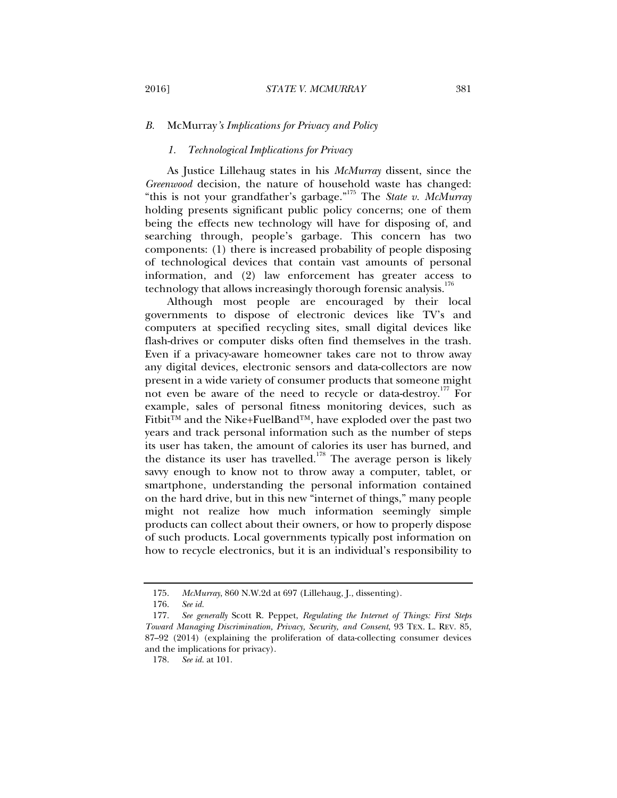#### *B.* McMurray*'s Implications for Privacy and Policy*

#### *1. Technological Implications for Privacy*

As Justice Lillehaug states in his *McMurray* dissent, since the *Greenwood* decision, the nature of household waste has changed: "this is not your grandfather's garbage."175 The *State v. McMurray* holding presents significant public policy concerns; one of them being the effects new technology will have for disposing of, and searching through, people's garbage. This concern has two components: (1) there is increased probability of people disposing of technological devices that contain vast amounts of personal information, and (2) law enforcement has greater access to technology that allows increasingly thorough forensic analysis.<sup>176</sup>

Although most people are encouraged by their local governments to dispose of electronic devices like TV's and computers at specified recycling sites, small digital devices like flash-drives or computer disks often find themselves in the trash. Even if a privacy-aware homeowner takes care not to throw away any digital devices, electronic sensors and data-collectors are now present in a wide variety of consumer products that someone might not even be aware of the need to recycle or data-destroy.<sup>177</sup> For example, sales of personal fitness monitoring devices, such as Fitbit™ and the Nike+FuelBand™, have exploded over the past two years and track personal information such as the number of steps its user has taken, the amount of calories its user has burned, and the distance its user has travelled.<sup>178</sup> The average person is likely savvy enough to know not to throw away a computer, tablet, or smartphone, understanding the personal information contained on the hard drive, but in this new "internet of things," many people might not realize how much information seemingly simple products can collect about their owners, or how to properly dispose of such products. Local governments typically post information on how to recycle electronics, but it is an individual's responsibility to

 <sup>175.</sup> *McMurray*, 860 N.W.2d at 697 (Lillehaug, J., dissenting).

 <sup>176.</sup> *See id.*

 <sup>177.</sup> *See generally* Scott R. Peppet, *Regulating the Internet of Things: First Steps Toward Managing Discrimination, Privacy, Security, and Consent*, 93 TEX. L. REV. 85, 87–92 (2014) (explaining the proliferation of data-collecting consumer devices and the implications for privacy).

 <sup>178.</sup> *See id.* at 101.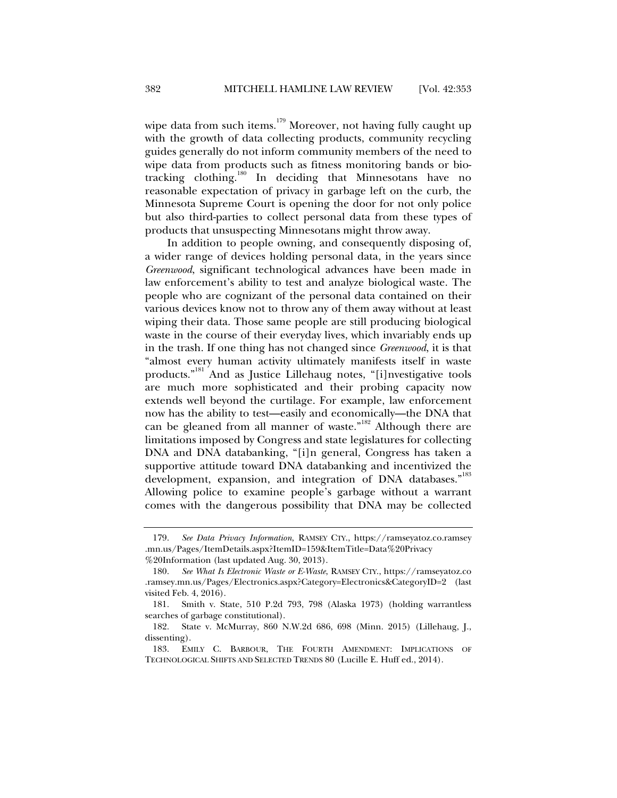wipe data from such items.<sup>179</sup> Moreover, not having fully caught up with the growth of data collecting products, community recycling guides generally do not inform community members of the need to wipe data from products such as fitness monitoring bands or biotracking clothing.180 In deciding that Minnesotans have no reasonable expectation of privacy in garbage left on the curb, the Minnesota Supreme Court is opening the door for not only police but also third-parties to collect personal data from these types of products that unsuspecting Minnesotans might throw away.

In addition to people owning, and consequently disposing of, a wider range of devices holding personal data, in the years since *Greenwood*, significant technological advances have been made in law enforcement's ability to test and analyze biological waste. The people who are cognizant of the personal data contained on their various devices know not to throw any of them away without at least wiping their data. Those same people are still producing biological waste in the course of their everyday lives, which invariably ends up in the trash. If one thing has not changed since *Greenwood*, it is that "almost every human activity ultimately manifests itself in waste products."181 And as Justice Lillehaug notes, "[i]nvestigative tools are much more sophisticated and their probing capacity now extends well beyond the curtilage. For example, law enforcement now has the ability to test—easily and economically—the DNA that can be gleaned from all manner of waste."<sup>182</sup> Although there are limitations imposed by Congress and state legislatures for collecting DNA and DNA databanking, "[i]n general, Congress has taken a supportive attitude toward DNA databanking and incentivized the development, expansion, and integration of DNA databases."<sup>183</sup> Allowing police to examine people's garbage without a warrant comes with the dangerous possibility that DNA may be collected

 <sup>179.</sup> *See Data Privacy Information*, RAMSEY CTY., https://ramseyatoz.co.ramsey .mn.us/Pages/ItemDetails.aspx?ItemID=159&ItemTitle=Data%20Privacy %20Information (last updated Aug. 30, 2013).

 <sup>180.</sup> *See What Is Electronic Waste or E-Waste*, RAMSEY CTY., https://ramseyatoz.co .ramsey.mn.us/Pages/Electronics.aspx?Category=Electronics&CategoryID=2 (last visited Feb. 4, 2016).

 <sup>181.</sup> Smith v. State, 510 P.2d 793, 798 (Alaska 1973) (holding warrantless searches of garbage constitutional).

 <sup>182.</sup> State v. McMurray, 860 N.W.2d 686, 698 (Minn. 2015) (Lillehaug, J., dissenting).

 <sup>183.</sup> EMILY C. BARBOUR, THE FOURTH AMENDMENT: IMPLICATIONS OF TECHNOLOGICAL SHIFTS AND SELECTED TRENDS 80 (Lucille E. Huff ed., 2014).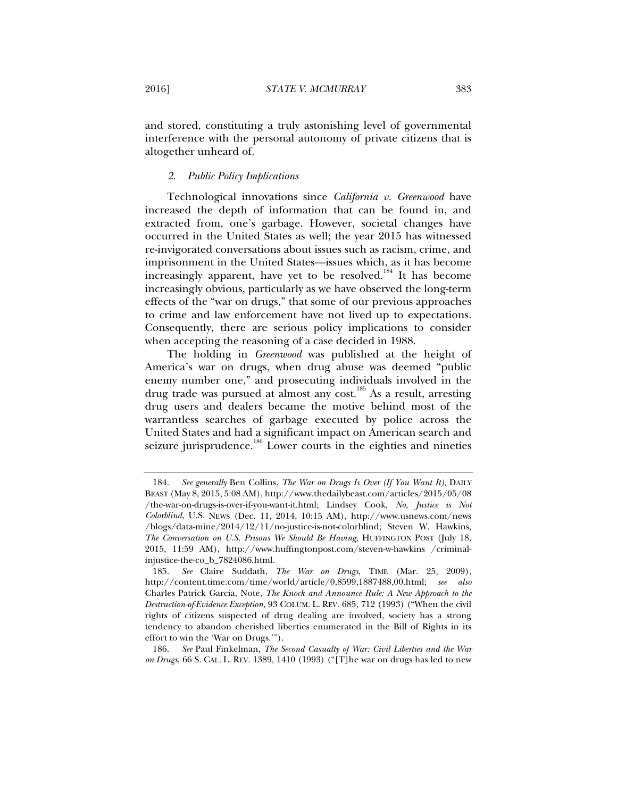and stored, constituting a truly astonishing level of governmental interference with the personal autonomy of private citizens that is altogether unheard of.

#### *2. Public Policy Implications*

Technological innovations since *California v. Greenwood* have increased the depth of information that can be found in, and extracted from, one's garbage. However, societal changes have occurred in the United States as well; the year 2015 has witnessed re-invigorated conversations about issues such as racism, crime, and imprisonment in the United States—issues which, as it has become increasingly apparent, have yet to be resolved.<sup>184</sup> It has become increasingly obvious, particularly as we have observed the long-term effects of the "war on drugs," that some of our previous approaches to crime and law enforcement have not lived up to expectations. Consequently, there are serious policy implications to consider when accepting the reasoning of a case decided in 1988.

The holding in *Greenwood* was published at the height of America's war on drugs, when drug abuse was deemed "public enemy number one," and prosecuting individuals involved in the drug trade was pursued at almost any cost.<sup>185</sup> As a result, arresting drug users and dealers became the motive behind most of the warrantless searches of garbage executed by police across the United States and had a significant impact on American search and seizure jurisprudence.<sup>186</sup> Lower courts in the eighties and nineties

 <sup>184.</sup> *See generally* Ben Collins, *The War on Drugs Is Over (If You Want It)*, DAILY BEAST (May 8, 2015, 5:08 AM), http://www.thedailybeast.com/articles/2015/05/08 /the-war-on-drugs-is-over-if-you-want-it.html; Lindsey Cook, *No, Justice is Not Colorblind*, U.S. NEWS (Dec. 11, 2014, 10:15 AM), http://www.usnews.com/news /blogs/data-mine/2014/12/11/no-justice-is-not-colorblind; Steven W. Hawkins, *The Conversation on U.S. Prisons We Should Be Having*, HUFFINGTON POST (July 18, 2015, 11:59 AM), http://www.huffingtonpost.com/steven-w-hawkins /criminalinjustice-the-co\_b\_7824086.html.

 <sup>185.</sup> *See* Claire Suddath, *The War on Drugs*, TIME (Mar. 25, 2009), http://content.time.com/time/world/article/0,8599,1887488,00.html; *see also* Charles Patrick Garcia, Note, *The Knock and Announce Rule: A New Approach to the Destruction-of-Evidence Exception*, 93 COLUM. L. REV. 685, 712 (1993) ("When the civil rights of citizens suspected of drug dealing are involved, society has a strong tendency to abandon cherished liberties enumerated in the Bill of Rights in its effort to win the 'War on Drugs.'").

 <sup>186.</sup> *See* Paul Finkelman, *The Second Casualty of War: Civil Liberties and the War on Drugs*, 66 S. CAL. L. REV. 1389, 1410 (1993) ("[T]he war on drugs has led to new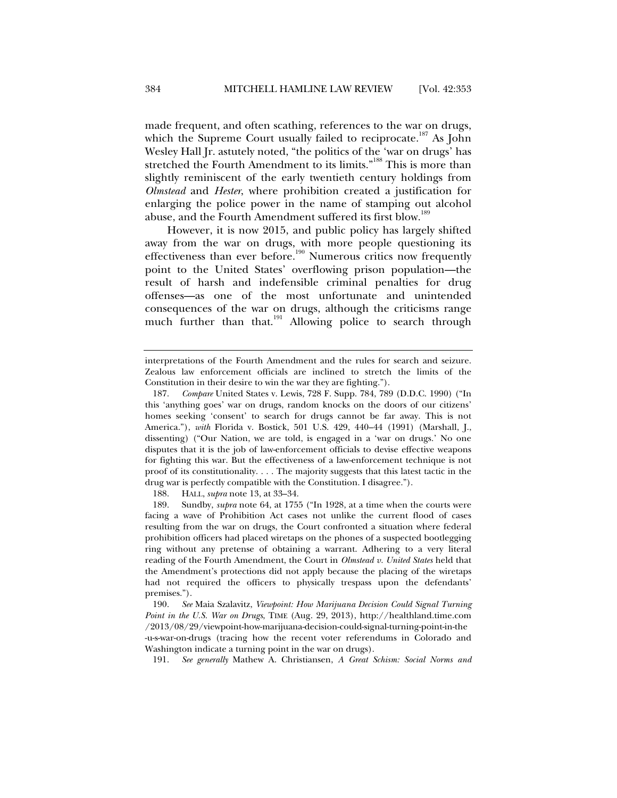made frequent, and often scathing, references to the war on drugs, which the Supreme Court usually failed to reciprocate.<sup>187</sup> As John Wesley Hall Jr. astutely noted, "the politics of the 'war on drugs' has stretched the Fourth Amendment to its limits."<sup>188</sup> This is more than slightly reminiscent of the early twentieth century holdings from *Olmstead* and *Hester*, where prohibition created a justification for enlarging the police power in the name of stamping out alcohol abuse, and the Fourth Amendment suffered its first blow.<sup>189</sup>

However, it is now 2015, and public policy has largely shifted away from the war on drugs, with more people questioning its effectiveness than ever before.<sup>190</sup> Numerous critics now frequently point to the United States' overflowing prison population—the result of harsh and indefensible criminal penalties for drug offenses—as one of the most unfortunate and unintended consequences of the war on drugs, although the criticisms range much further than that.<sup>191</sup> Allowing police to search through

188. HALL, *supra* note 13, at 33–34.

interpretations of the Fourth Amendment and the rules for search and seizure. Zealous law enforcement officials are inclined to stretch the limits of the Constitution in their desire to win the war they are fighting.").

 <sup>187.</sup> *Compare* United States v. Lewis, 728 F. Supp. 784, 789 (D.D.C. 1990) ("In this 'anything goes' war on drugs, random knocks on the doors of our citizens' homes seeking 'consent' to search for drugs cannot be far away. This is not America."), *with* Florida v. Bostick, 501 U.S. 429, 440–44 (1991) (Marshall, J., dissenting) ("Our Nation, we are told, is engaged in a 'war on drugs.' No one disputes that it is the job of law-enforcement officials to devise effective weapons for fighting this war. But the effectiveness of a law-enforcement technique is not proof of its constitutionality. . . . The majority suggests that this latest tactic in the drug war is perfectly compatible with the Constitution. I disagree.").

 <sup>189.</sup> Sundby, *supra* note 64, at 1755 ("In 1928, at a time when the courts were facing a wave of Prohibition Act cases not unlike the current flood of cases resulting from the war on drugs, the Court confronted a situation where federal prohibition officers had placed wiretaps on the phones of a suspected bootlegging ring without any pretense of obtaining a warrant. Adhering to a very literal reading of the Fourth Amendment, the Court in *Olmstead v. United States* held that the Amendment's protections did not apply because the placing of the wiretaps had not required the officers to physically trespass upon the defendants' premises.").

 <sup>190.</sup> *See* Maia Szalavitz, *Viewpoint: How Marijuana Decision Could Signal Turning Point in the U.S. War on Drugs*, TIME (Aug. 29, 2013), http://healthland.time.com /2013/08/29/viewpoint-how-marijuana-decision-could-signal-turning-point-in-the -u-s-war-on-drugs (tracing how the recent voter referendums in Colorado and Washington indicate a turning point in the war on drugs).

 <sup>191.</sup> *See generally* Mathew A. Christiansen, *A Great Schism: Social Norms and*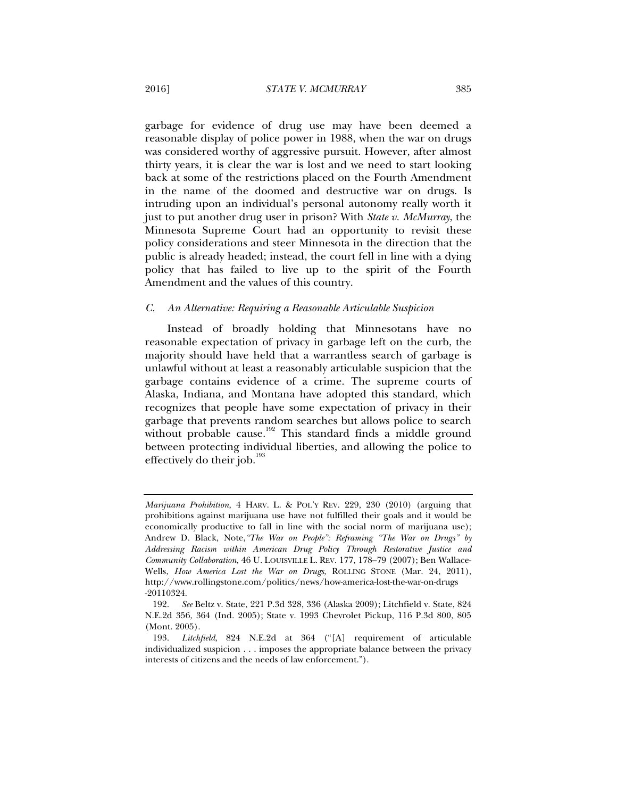garbage for evidence of drug use may have been deemed a reasonable display of police power in 1988, when the war on drugs was considered worthy of aggressive pursuit. However, after almost thirty years, it is clear the war is lost and we need to start looking back at some of the restrictions placed on the Fourth Amendment in the name of the doomed and destructive war on drugs. Is intruding upon an individual's personal autonomy really worth it just to put another drug user in prison? With *State v. McMurray*, the Minnesota Supreme Court had an opportunity to revisit these policy considerations and steer Minnesota in the direction that the public is already headed; instead, the court fell in line with a dying policy that has failed to live up to the spirit of the Fourth Amendment and the values of this country.

#### *C. An Alternative: Requiring a Reasonable Articulable Suspicion*

Instead of broadly holding that Minnesotans have no reasonable expectation of privacy in garbage left on the curb, the majority should have held that a warrantless search of garbage is unlawful without at least a reasonably articulable suspicion that the garbage contains evidence of a crime. The supreme courts of Alaska, Indiana, and Montana have adopted this standard, which recognizes that people have some expectation of privacy in their garbage that prevents random searches but allows police to search without probable cause.<sup>192</sup> This standard finds a middle ground between protecting individual liberties, and allowing the police to effectively do their job. $193$ 

*Marijuana Prohibition*, 4 HARV. L. & POL'Y REV. 229, 230 (2010) (arguing that prohibitions against marijuana use have not fulfilled their goals and it would be economically productive to fall in line with the social norm of marijuana use); Andrew D. Black, Note,*"The War on People": Reframing "The War on Drugs" by Addressing Racism within American Drug Policy Through Restorative Justice and Community Collaboration*, 46 U. LOUISVILLE L. REV. 177, 178–79 (2007); Ben Wallace-Wells, *How America Lost the War on Drugs*, ROLLING STONE (Mar. 24, 2011), http://www.rollingstone.com/politics/news/how-america-lost-the-war-on-drugs -20110324.

 <sup>192.</sup> *See* Beltz v. State, 221 P.3d 328, 336 (Alaska 2009); Litchfield v. State, 824 N.E.2d 356, 364 (Ind. 2005); State v. 1993 Chevrolet Pickup, 116 P.3d 800, 805 (Mont. 2005).

 <sup>193.</sup> *Litchfield*, 824 N.E.2d at 364 ("[A] requirement of articulable individualized suspicion . . . imposes the appropriate balance between the privacy interests of citizens and the needs of law enforcement.").